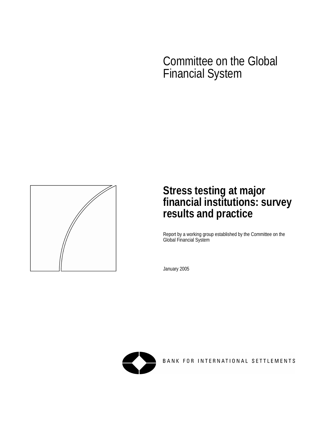# Committee on the Global Financial System



# **Stress testing at major financial institutions: survey results and practice**

Report by a working group established by the Committee on the Global Financial System

January 2005



BANK FOR INTERNATIONAL SETTLEMENTS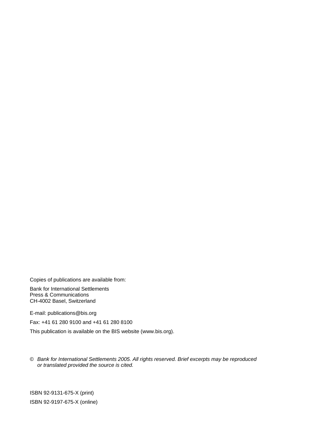Copies of publications are available from:

Bank for International Settlements Press & Communications CH-4002 Basel, Switzerland

E-mail: [publications@bis.org](mailto:publications@bis.org) 

Fax: +41 61 280 9100 and +41 61 280 8100

This publication is available on the BIS website (www.bis.org).

© *Bank for International Settlements 2005. All rights reserved. Brief excerpts may be reproduced or translated provided the source is cited.* 

ISBN 92-9131-675-X (print) ISBN 92-9197-675-X (online)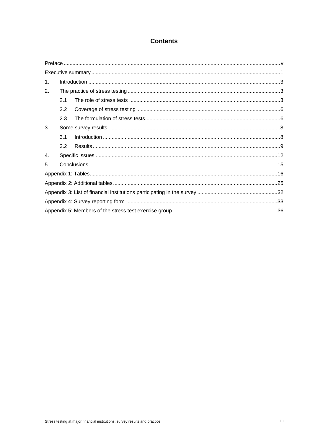### **Contents**

| 1. |                  |  |  |  |  |  |  |
|----|------------------|--|--|--|--|--|--|
| 2. |                  |  |  |  |  |  |  |
|    | 2.1              |  |  |  |  |  |  |
|    | $2.2\phantom{0}$ |  |  |  |  |  |  |
|    | 2.3              |  |  |  |  |  |  |
| 3. |                  |  |  |  |  |  |  |
|    | 3.1              |  |  |  |  |  |  |
|    | 3.2              |  |  |  |  |  |  |
| 4. |                  |  |  |  |  |  |  |
| 5. |                  |  |  |  |  |  |  |
|    |                  |  |  |  |  |  |  |
|    |                  |  |  |  |  |  |  |
|    |                  |  |  |  |  |  |  |
|    |                  |  |  |  |  |  |  |
|    |                  |  |  |  |  |  |  |
|    |                  |  |  |  |  |  |  |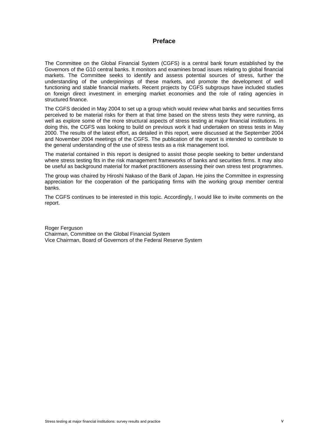### **Preface**

The Committee on the Global Financial System (CGFS) is a central bank forum established by the Governors of the G10 central banks. It monitors and examines broad issues relating to global financial markets. The Committee seeks to identify and assess potential sources of stress, further the understanding of the underpinnings of these markets, and promote the development of well functioning and stable financial markets. Recent projects by CGFS subgroups have included studies on foreign direct investment in emerging market economies and the role of rating agencies in structured finance.

The CGFS decided in May 2004 to set up a group which would review what banks and securities firms perceived to be material risks for them at that time based on the stress tests they were running, as well as explore some of the more structural aspects of stress testing at major financial institutions. In doing this, the CGFS was looking to build on previous work it had undertaken on stress tests in May 2000. The results of the latest effort, as detailed in this report, were discussed at the September 2004 and November 2004 meetings of the CGFS. The publication of the report is intended to contribute to the general understanding of the use of stress tests as a risk management tool.

The material contained in this report is designed to assist those people seeking to better understand where stress testing fits in the risk management frameworks of banks and securities firms. It may also be useful as background material for market practitioners assessing their own stress test programmes.

The group was chaired by Hiroshi Nakaso of the Bank of Japan. He joins the Committee in expressing appreciation for the cooperation of the participating firms with the working group member central banks.

The CGFS continues to be interested in this topic. Accordingly, I would like to invite comments on the report.

Roger Ferguson Chairman, Committee on the Global Financial System Vice Chairman, Board of Governors of the Federal Reserve System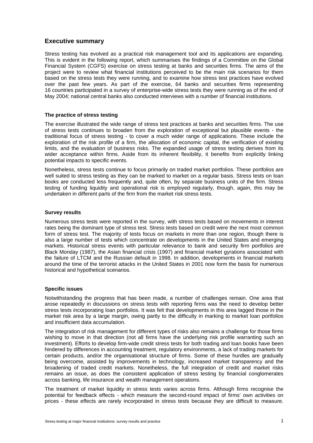### **Executive summary**

Stress testing has evolved as a practical risk management tool and its applications are expanding. This is evident in the following report, which summarises the findings of a Committee on the Global Financial System (CGFS) exercise on stress testing at banks and securities firms. The aims of the project were to review what financial institutions perceived to be the main risk scenarios for them based on the stress tests they were running, and to examine how stress test practices have evolved over the past few years. As part of the exercise, 64 banks and securities firms representing 16 countries participated in a survey of enterprise-wide stress tests they were running as of the end of May 2004; national central banks also conducted interviews with a number of financial institutions.

### **The practice of stress testing**

The exercise illustrated the wide range of stress test practices at banks and securities firms. The use of stress tests continues to broaden from the exploration of exceptional but plausible events - the traditional focus of stress testing - to cover a much wider range of applications. These include the exploration of the risk profile of a firm, the allocation of economic capital, the verification of existing limits, and the evaluation of business risks. The expanded usage of stress testing derives from its wider acceptance within firms. Aside from its inherent flexibility, it benefits from explicitly linking potential impacts to specific events.

Nonetheless, stress tests continue to focus primarily on traded market portfolios. These portfolios are well suited to stress testing as they can be marked to market on a regular basis. Stress tests on loan books are conducted less frequently and, quite often, by separate business units of the firm. Stress testing of funding liquidity and operational risk is employed regularly, though, again, this may be undertaken in different parts of the firm from the market risk stress tests.

### **Survey results**

Numerous stress tests were reported in the survey, with stress tests based on movements in interest rates being the dominant type of stress test. Stress tests based on credit were the next most common form of stress test. The majority of tests focus on markets in more than one region, though there is also a large number of tests which concentrate on developments in the United States and emerging markets. Historical stress events with particular relevance to bank and security firm portfolios are Black Monday (1987), the Asian financial crisis (1997) and financial market gyrations associated with the failure of LTCM and the Russian default in 1998. In addition, developments in financial markets around the time of the terrorist attacks in the United States in 2001 now form the basis for numerous historical and hypothetical scenarios.

### **Specific issues**

Notwithstanding the progress that has been made, a number of challenges remain. One area that arose repeatedly in discussions on stress tests with reporting firms was the need to develop better stress tests incorporating loan portfolios. It was felt that developments in this area lagged those in the market risk area by a large margin, owing partly to the difficulty in marking to market loan portfolios and insufficient data accumulation.

The integration of risk management for different types of risks also remains a challenge for those firms wishing to move in that direction (not all firms have the underlying risk profile warranting such an investment). Efforts to develop firm-wide credit stress tests for both trading and loan books have been hindered by differences in accounting treatment, regulatory environments, a lack of trading markets for certain products, and/or the organisational structure of firms. Some of these hurdles are gradually being overcome, assisted by improvements in technology, increased market transparency and the broadening of traded credit markets. Nonetheless, the full integration of credit and market risks remains an issue, as does the consistent application of stress testing by financial conglomerates across banking, life insurance and wealth management operations.

The treatment of market liquidity in stress tests varies across firms. Although firms recognise the potential for feedback effects - which measure the second-round impact of firms' own activities on prices - these effects are rarely incorporated in stress tests because they are difficult to measure.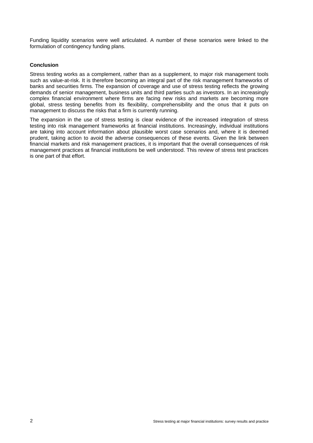Funding liquidity scenarios were well articulated. A number of these scenarios were linked to the formulation of contingency funding plans.

### **Conclusion**

Stress testing works as a complement, rather than as a supplement, to major risk management tools such as value-at-risk. It is therefore becoming an integral part of the risk management frameworks of banks and securities firms. The expansion of coverage and use of stress testing reflects the growing demands of senior management, business units and third parties such as investors. In an increasingly complex financial environment where firms are facing new risks and markets are becoming more global, stress testing benefits from its flexibility, comprehensibility and the onus that it puts on management to discuss the risks that a firm is currently running.

The expansion in the use of stress testing is clear evidence of the increased integration of stress testing into risk management frameworks at financial institutions. Increasingly, individual institutions are taking into account information about plausible worst case scenarios and, where it is deemed prudent, taking action to avoid the adverse consequences of these events. Given the link between financial markets and risk management practices, it is important that the overall consequences of risk management practices at financial institutions be well understood. This review of stress test practices is one part of that effort.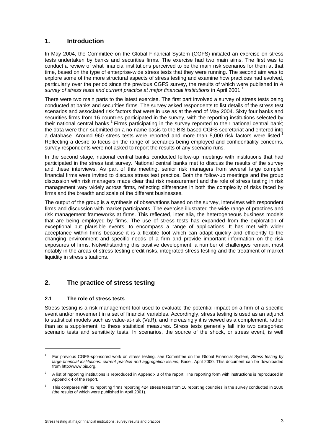### **1. Introduction**

In May 2004, the Committee on the Global Financial System (CGFS) initiated an exercise on stress tests undertaken by banks and securities firms. The exercise had two main aims. The first was to conduct a review of what financial institutions perceived to be the main risk scenarios for them at that time, based on the type of enterprise-wide stress tests that they were running. The second aim was to explore some of the more structural aspects of stress testing and examine how practices had evolved, particularly over the period since the previous CGFS survey, the results of which were published in *A survey of stress tests and current practice at major financial institutions* in April 2001.<sup>1</sup>

There were two main parts to the latest exercise. The first part involved a survey of stress tests being conducted at banks and securities firms. The survey asked respondents to list details of the stress test scenarios and associated risk factors that were in use as at the end of May 2004. Sixty four banks and securities firms from 16 countries participated in the survey, with the reporting institutions selected by their national central banks.<sup>2</sup> Firms participating in the survey reported to their national central bank; the data were then submitted on a no-name basis to the BIS-based CGFS secretariat and entered into a database. Around 960 stress tests were reported and more than 5,000 risk factors were listed. $3$ Reflecting a desire to focus on the range of scenarios being employed and confidentiality concerns, survey respondents were not asked to report the results of any scenario runs.

In the second stage, national central banks conducted follow-up meetings with institutions that had participated in the stress test survey. National central banks met to discuss the results of the survey and these interviews. As part of this meeting, senior risk managers from several large complex financial firms were invited to discuss stress test practice. Both the follow-up meetings and the group discussion with risk managers made clear that risk measurement and the role of stress testing in risk management vary widely across firms, reflecting differences in both the complexity of risks faced by firms and the breadth and scale of the different businesses.

The output of the group is a synthesis of observations based on the survey, interviews with respondent firms and discussion with market participants. The exercise illustrated the wide range of practices and risk management frameworks at firms. This reflected, inter alia, the heterogeneous business models that are being employed by firms. The use of stress tests has expanded from the exploration of exceptional but plausible events, to encompass a range of applications. It has met with wider acceptance within firms because it is a flexible tool which can adapt quickly and efficiently to the changing environment and specific needs of a firm and provide important information on the risk exposures of firms. Notwithstanding this positive development, a number of challenges remain, most notably in the areas of stress testing credit risks, integrated stress testing and the treatment of market liquidity in stress situations.

### **2. The practice of stress testing**

### **2.1 The role of stress tests**

l

Stress testing is a risk management tool used to evaluate the potential impact on a firm of a specific event and/or movement in a set of financial variables. Accordingly, stress testing is used as an adjunct to statistical models such as value-at-risk (VaR), and increasingly it is viewed as a complement, rather than as a supplement, to these statistical measures. Stress tests generally fall into two categories: scenario tests and sensitivity tests. In scenarios, the source of the shock, or stress event, is well

<sup>1</sup> For previous CGFS-sponsored work on stress testing, see Committee on the Global Financial System*, Stress testing by large financial institutions: current practice and aggregation issues*, Basel, April 2000. This document can be downloaded from http://www.bis.org.

<sup>2</sup> A list of reporting institutions is reproduced in Appendix 3 of the report. The reporting form with instructions is reproduced in Appendix 4 of the report.

<sup>3</sup> This compares with 43 reporting firms reporting 424 stress tests from 10 reporting countries in the survey conducted in 2000 (the results of which were published in April 2001).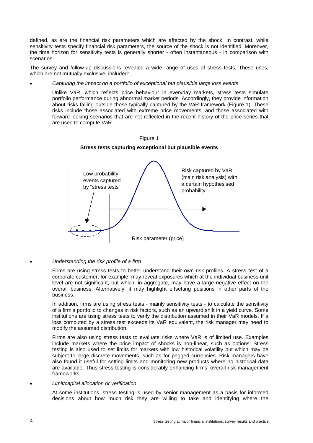defined, as are the financial risk parameters which are affected by the shock. In contrast, while sensitivity tests specify financial risk parameters, the source of the shock is not identified. Moreover, the time horizon for sensitivity tests is generally shorter - often instantaneous - in comparison with scenarios.

The survey and follow-up discussions revealed a wide range of uses of stress tests. These uses, which are not mutually exclusive, included:

### • *Capturing the impact on a portfolio of exceptional but plausible large loss events*

 Unlike VaR, which reflects price behaviour in everyday markets, stress tests simulate portfolio performance during abnormal market periods. Accordingly, they provide information about risks falling outside those typically captured by the VaR framework (Figure 1). These risks include those associated with extreme price movements, and those associated with forward-looking scenarios that are not reflected in the recent history of the price series that are used to compute VaR.



Figure 1 **Stress tests capturing exceptional but plausible events** 

### • *Understanding the risk profile of a firm*

 Firms are using stress tests to better understand their own risk profiles. A stress test of a corporate customer, for example, may reveal exposures which at the individual business unit level are not significant, but which, in aggregate, may have a large negative effect on the overall business. Alternatively, it may highlight offsetting positions in other parts of the business.

 In addition, firms are using stress tests - mainly sensitivity tests - to calculate the sensitivity of a firm's portfolio to changes in risk factors, such as an upward shift in a yield curve. Some institutions are using stress tests to verify the distribution assumed in their VaR models. If a loss computed by a stress test exceeds its VaR equivalent, the risk manager may need to modify the assumed distribution.

 Firms are also using stress tests to evaluate risks where VaR is of limited use. Examples include markets where the price impact of shocks is non-linear, such as options. Stress testing is also used to set limits for markets with low historical volatility but which may be subject to large discrete movements, such as for pegged currencies. Risk managers have also found it useful for setting limits and monitoring new products where no historical data are available. Thus stress testing is considerably enhancing firms' overall risk management frameworks.

### • *Limit/capital allocation or verification*

 At some institutions, stress testing is used by senior management as a basis for informed decisions about how much risk they are willing to take and identifying where the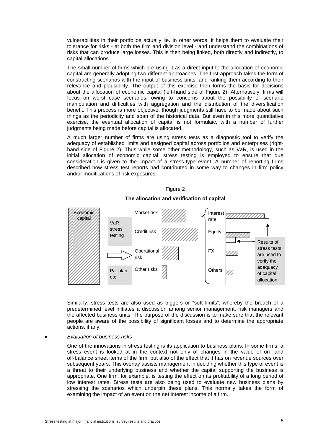vulnerabilities in their portfolios actually lie. In other words, it helps them to evaluate their tolerance for risks - at both the firm and division level - and understand the combinations of risks that can produce large losses. This is then being linked, both directly and indirectly, to capital allocations.

 The small number of firms which are using it as a direct input to the allocation of economic capital are generally adopting two different approaches. The first approach takes the form of constructing scenarios with the input of business units, and ranking them according to their relevance and plausibility. The output of this exercise then forms the basis for decisions about the allocation of economic capital (left-hand side of Figure 2). Alternatively, firms will focus on worst case scenarios, owing to concerns about the possibility of scenario manipulation and difficulties with aggregation and the distribution of the diversification benefit. This process is more objective, though judgments still have to be made about such things as the periodicity and span of the historical data. But even in this more quantitative exercise, the eventual allocation of capital is not formulaic, with a number of further judgments being made before capital is allocated.

 A much larger number of firms are using stress tests as a diagnostic tool to verify the adequacy of established limits and assigned capital across portfolios and enterprises (righthand side of Figure 2). Thus while some other methodology, such as VaR, is used in the initial allocation of economic capital, stress testing is employed to ensure that due consideration is given to the impact of a stress-type event. A number of reporting firms described how stress test reports had contributed in some way to changes in firm policy and/or modifications of risk exposures.





### **The allocation and verification of capital**

Similarly, stress tests are also used as triggers or "soft limits", whereby the breach of a predetermined level initiates a discussion among senior management, risk managers and the affected business units. The purpose of the discussion is to make sure that the relevant people are aware of the possibility of significant losses and to determine the appropriate actions, if any.

### • *Evaluation of business risks*

 One of the innovations in stress testing is its application to business plans. In some firms, a stress event is looked at in the context not only of changes in the value of on- and off-balance sheet items of the firm, but also of the effect that it has on revenue sources over subsequent years. This overlay assists management in deciding whether this type of event is a threat to their underlying business and whether the capital supporting the business is appropriate. One firm, for example, is testing the effect on its profitability of a long period of low interest rates. Stress tests are also being used to evaluate new business plans by stressing the scenarios which underpin these plans. This normally takes the form of examining the impact of an event on the net interest income of a firm.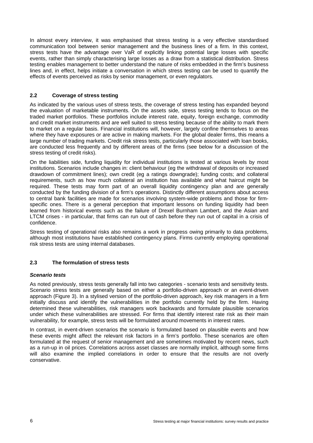In almost every interview, it was emphasised that stress testing is a very effective standardised communication tool between senior management and the business lines of a firm. In this context, stress tests have the advantage over VaR of explicitly linking potential large losses with specific events, rather than simply characterising large losses as a draw from a statistical distribution. Stress testing enables management to better understand the nature of risks embedded in the firm's business lines and, in effect, helps initiate a conversation in which stress testing can be used to quantify the effects of events perceived as risks by senior management, or even regulators.

### **2.2 Coverage of stress testing**

As indicated by the various uses of stress tests, the coverage of stress testing has expanded beyond the evaluation of marketable instruments. On the assets side, stress testing tends to focus on the traded market portfolios. These portfolios include interest rate, equity, foreign exchange, commodity and credit market instruments and are well suited to stress testing because of the ability to mark them to market on a regular basis. Financial institutions will, however, largely confine themselves to areas where they have exposures or are active in making markets. For the global dealer firms, this means a large number of trading markets. Credit risk stress tests, particularly those associated with loan books, are conducted less frequently and by different areas of the firms (see below for a discussion of the stress testing of credit risks).

On the liabilities side, funding liquidity for individual institutions is tested at various levels by most institutions. Scenarios include changes in: client behaviour (eg the withdrawal of deposits or increased drawdown of commitment lines); own credit (eg a ratings downgrade); funding costs; and collateral requirements, such as how much collateral an institution has available and what haircut might be required. These tests may form part of an overall liquidity contingency plan and are generally conducted by the funding division of a firm's operations. Distinctly different assumptions about access to central bank facilities are made for scenarios involving system-wide problems and those for firmspecific ones. There is a general perception that important lessons on funding liquidity had been learned from historical events such as the failure of Drexel Burnham Lambert, and the Asian and LTCM crises - in particular, that firms can run out of cash before they run out of capital in a crisis of confidence.

Stress testing of operational risks also remains a work in progress owing primarily to data problems, although most institutions have established contingency plans. Firms currently employing operational risk stress tests are using internal databases.

### **2.3 The formulation of stress tests**

### *Scenario tests*

As noted previously, stress tests generally fall into two categories - scenario tests and sensitivity tests. Scenario stress tests are generally based on either a portfolio-driven approach or an event-driven approach (Figure 3). In a stylised version of the portfolio-driven approach, key risk managers in a firm initially discuss and identify the vulnerabilities in the portfolio currently held by the firm. Having determined these vulnerabilities, risk managers work backwards and formulate plausible scenarios under which these vulnerabilities are stressed. For firms that identify interest rate risk as their main vulnerability, for example, stress tests will be formulated around movements in interest rates.

In contrast, in event-driven scenarios the scenario is formulated based on plausible events and how these events might affect the relevant risk factors in a firm's portfolio. These scenarios are often formulated at the request of senior management and are sometimes motivated by recent news, such as a run-up in oil prices. Correlations across asset classes are normally implicit, although some firms will also examine the implied correlations in order to ensure that the results are not overly conservative.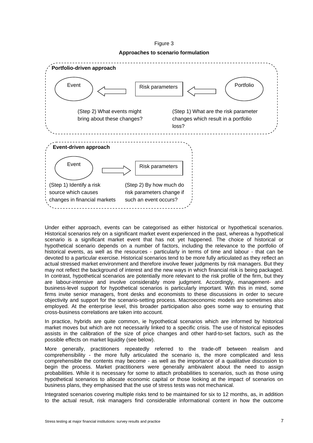(Step 2) By how much do risk parameters change if such an event occurs? **Event-driven approach**  Event  $\sum_{n=1}^{\infty}$  Risk parameters (Step 1) Identify a risk source which causes changes in financial markets  $E$ vent  $\setminus$   $\setminus$   $\setminus$   $\setminus$  Risk parameters  $\setminus$   $\setminus$   $\setminus$   $\setminus$  Portfolio (Step 1) What are the risk parameter changes which result in a portfolio loss? **Portfolio-driven approach**  (Step 2) What events might bring about these changes?

Figure 3 **Approaches to scenario formulation** 

Under either approach, events can be categorised as either historical or hypothetical scenarios. Historical scenarios rely on a significant market event experienced in the past, whereas a hypothetical scenario is a significant market event that has not yet happened. The choice of historical or hypothetical scenario depends on a number of factors, including the relevance to the portfolio of historical events, as well as the resources - particularly in terms of time and labour - that can be devoted to a particular exercise. Historical scenarios tend to be more fully articulated as they reflect an actual stressed market environment and therefore involve fewer judgments by risk managers. But they may not reflect the background of interest and the new ways in which financial risk is being packaged. In contrast, hypothetical scenarios are potentially more relevant to the risk profile of the firm, but they are labour-intensive and involve considerably more judgment. Accordingly, management- and business-level support for hypothetical scenarios is particularly important. With this in mind, some firms invite senior managers, front desks and economists to these discussions in order to secure objectivity and support for the scenario-setting process. Macroeconomic models are sometimes also employed. At the enterprise level, this broader participation also goes some way to ensuring that cross-business correlations are taken into account.

In practice, hybrids are quite common, ie hypothetical scenarios which are informed by historical market moves but which are not necessarily linked to a specific crisis. The use of historical episodes assists in the calibration of the size of price changes and other hard-to-set factors, such as the possible effects on market liquidity (see below).

More generally, practitioners repeatedly referred to the trade-off between realism and comprehensibility - the more fully articulated the scenario is, the more complicated and less comprehensible the contents may become - as well as the importance of a qualitative discussion to begin the process. Market practitioners were generally ambivalent about the need to assign probabilities. While it is necessary for some to attach probabilities to scenarios, such as those using hypothetical scenarios to allocate economic capital or those looking at the impact of scenarios on business plans, they emphasised that the use of stress tests was not mechanical.

Integrated scenarios covering multiple risks tend to be maintained for six to 12 months, as, in addition to the actual result, risk managers find considerable informational content in how the outcome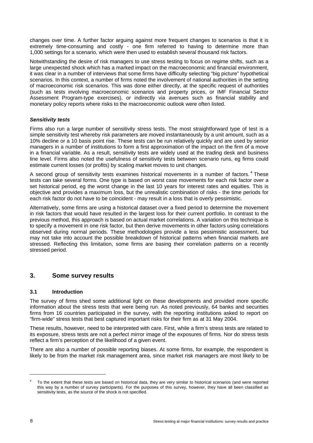changes over time. A further factor arguing against more frequent changes to scenarios is that it is extremely time-consuming and costly - one firm referred to having to determine more than 1,000 settings for a scenario, which were then used to establish several thousand risk factors.

Notwithstanding the desire of risk managers to use stress testing to focus on regime shifts, such as a large unexpected shock which has a marked impact on the macroeconomic and financial environment, it was clear in a number of interviews that some firms have difficulty selecting "big picture" hypothetical scenarios. In this context, a number of firms noted the involvement of national authorities in the setting of macroeconomic risk scenarios. This was done either directly, at the specific request of authorities (such as tests involving macroeconomic scenarios and property prices, or IMF Financial Sector Assessment Program-type exercises), or indirectly via avenues such as financial stability and monetary policy reports where risks to the macroeconomic outlook were often listed.

### *Sensitivity tests*

Firms also run a large number of sensitivity stress tests. The most straightforward type of test is a simple sensitivity test whereby risk parameters are moved instantaneously by a unit amount, such as a 10% decline or a 10 basis point rise. These tests can be run relatively quickly and are used by senior managers in a number of institutions to form a first approximation of the impact on the firm of a move in a financial variable. As a result, sensitivity tests are widely used at the trading desk and business line level. Firms also noted the usefulness of sensitivity tests between scenario runs, eg firms could estimate current losses (or profits) by scaling market moves to unit changes.

A second group of sensitivity tests examines historical movements in a number of factors.<sup>4</sup> These tests can take several forms. One type is based on worst case movements for each risk factor over a set historical period, eg the worst change in the last 10 years for interest rates and equities. This is objective and provides a maximum loss, but the unrealistic combination of risks - the time periods for each risk factor do not have to be coincident - may result in a loss that is overly pessimistic.

Alternatively, some firms are using a historical dataset over a fixed period to determine the movement in risk factors that would have resulted in the largest loss for their current portfolio. In contrast to the previous method, this approach is based on actual market correlations. A variation on this technique is to specify a movement in one risk factor, but then derive movements in other factors using correlations observed during normal periods. These methodologies provide a less pessimistic assessment, but may not take into account the possible breakdown of historical patterns when financial markets are stressed. Reflecting this limitation, some firms are basing their correlation patterns on a recently stressed period.

### **3. Some survey results**

### **3.1 Introduction**

The survey of firms shed some additional light on these developments and provided more specific information about the stress tests that were being run. As noted previously, 64 banks and securities firms from 16 countries participated in the survey, with the reporting institutions asked to report on "firm-wide" stress tests that best captured important risks for their firm as at 31 May 2004.

These results, however, need to be interpreted with care. First, while a firm's stress tests are related to its exposure, stress tests are not a perfect mirror image of the exposures of firms. Nor do stress tests reflect a firm's perception of the likelihood of a given event.

There are also a number of possible reporting biases. At some firms, for example, the respondent is likely to be from the market risk management area, since market risk managers are most likely to be

l

<sup>4</sup> To the extent that these tests are based on historical data, they are very similar to historical scenarios (and were reported this way by a number of survey participants). For the purposes of this survey, however, they have all been classified as sensitivity tests, as the source of the shock is not specified.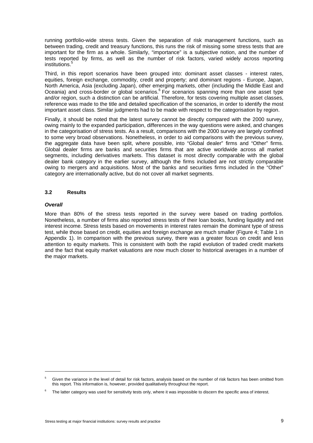running portfolio-wide stress tests. Given the separation of risk management functions, such as between trading, credit and treasury functions, this runs the risk of missing some stress tests that are important for the firm as a whole. Similarly, "importance" is a subjective notion, and the number of tests reported by firms, as well as the number of risk factors, varied widely across reporting institutions.<sup>5</sup>

Third, in this report scenarios have been grouped into: dominant asset classes - interest rates, equities, foreign exchange, commodity, credit and property; and dominant regions - Europe, Japan, North America, Asia (excluding Japan), other emerging markets, other (including the Middle East and Oceania) and cross-border or global scenarios.<sup>6</sup> For scenarios spanning more than one asset type and/or region, such a distinction can be artificial. Therefore, for tests covering multiple asset classes, reference was made to the title and detailed specification of the scenarios, in order to identify the most important asset class. Similar judgments had to be made with respect to the categorisation by region.

Finally, it should be noted that the latest survey cannot be directly compared with the 2000 survey, owing mainly to the expanded participation, differences in the way questions were asked, and changes in the categorisation of stress tests. As a result, comparisons with the 2000 survey are largely confined to some very broad observations. Nonetheless, in order to aid comparisons with the previous survey, the aggregate data have been split, where possible, into "Global dealer" firms and "Other" firms. Global dealer firms are banks and securities firms that are active worldwide across all market segments, including derivatives markets. This dataset is most directly comparable with the global dealer bank category in the earlier survey, although the firms included are not strictly comparable owing to mergers and acquisitions. Most of the banks and securities firms included in the "Other" category are internationally active, but do not cover all market segments.

### **3.2 Results**

### *Overall*

 $\overline{a}$ 

More than 80% of the stress tests reported in the survey were based on trading portfolios. Nonetheless, a number of firms also reported stress tests of their loan books, funding liquidity and net interest income. Stress tests based on movements in interest rates remain the dominant type of stress test, while those based on credit, equities and foreign exchange are much smaller (Figure 4; Table 1 in Appendix 1). In comparison with the previous survey, there was a greater focus on credit and less attention to equity markets. This is consistent with both the rapid evolution of traded credit markets and the fact that equity market valuations are now much closer to historical averages in a number of the major markets.

<sup>5</sup> Given the variance in the level of detail for risk factors, analysis based on the number of risk factors has been omitted from this report. This information is, however, provided qualitatively throughout the report.

<sup>6</sup> The latter category was used for sensitivity tests only, where it was impossible to discern the specific area of interest.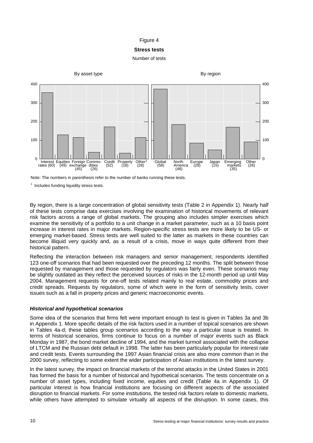### Figure 4

### **Stress tests**

### Number of tests



Note: The numbers in parenthesis refer to the number of banks running these tests.

 $1$  Includes funding liquidity stress tests.

By region, there is a large concentration of global sensitivity tests (Table 2 in Appendix 1). Nearly half of these tests comprise data exercises involving the examination of historical movements of relevant risk factors across a range of global markets. The grouping also includes simpler exercises which examine the sensitivity of a portfolio to a unit change in a market parameter, such as a 10 basis point increase in interest rates in major markets. Region-specific stress tests are more likely to be US- or emerging market-based. Stress tests are well suited to the latter as markets in these countries can become illiquid very quickly and, as a result of a crisis, move in ways quite different from their historical pattern.

Reflecting the interaction between risk managers and senior management, respondents identified 123 one-off scenarios that had been requested over the preceding 12 months. The split between those requested by management and those requested by regulators was fairly even. These scenarios may be slightly outdated as they reflect the perceived sources of risks in the 12-month period up until May 2004. Management requests for one-off tests related mainly to real estate, commodity prices and credit spreads. Requests by regulators, some of which were in the form of sensitivity tests, cover issues such as a fall in property prices and generic macroeconomic events.

### *Historical and hypothetical scenarios*

Some idea of the scenarios that firms felt were important enough to test is given in Tables 3a and 3b in Appendix 1. More specific details of the risk factors used in a number of topical scenarios are shown in Tables 4a-d; these tables group scenarios according to the way a particular issue is treated. In terms of historical scenarios, firms continue to focus on a number of major events such as Black Monday in 1987, the bond market decline of 1994, and the market turmoil associated with the collapse of LTCM and the Russian debt default in 1998. The latter has been particularly popular for interest rate and credit tests. Events surrounding the 1997 Asian financial crisis are also more common than in the 2000 survey, reflecting to some extent the wider participation of Asian institutions in the latest survey.

In the latest survey, the impact on financial markets of the terrorist attacks in the United States in 2001 has formed the basis for a number of historical and hypothetical scenarios. The tests concentrate on a number of asset types, including fixed income, equities and credit (Table 4a in Appendix 1). Of particular interest is how financial institutions are focusing on different aspects of the associated disruption to financial markets. For some institutions, the tested risk factors relate to domestic markets, while others have attempted to simulate virtually all aspects of the disruption. In some cases, this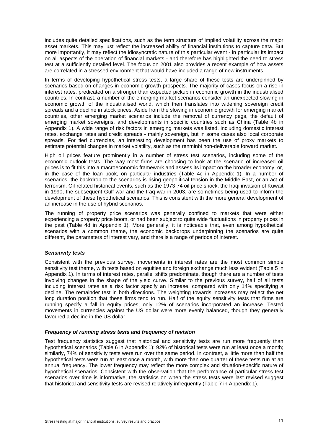includes quite detailed specifications, such as the term structure of implied volatility across the major asset markets. This may just reflect the increased ability of financial institutions to capture data. But more importantly, it may reflect the idiosyncratic nature of this particular event - in particular its impact on all aspects of the operation of financial markets - and therefore has highlighted the need to stress test at a sufficiently detailed level. The focus on 2001 also provides a recent example of how assets are correlated in a stressed environment that would have included a range of new instruments.

In terms of developing hypothetical stress tests, a large share of these tests are underpinned by scenarios based on changes in economic growth prospects. The majority of cases focus on a rise in interest rates, predicated on a stronger than expected pickup in economic growth in the industrialised countries. In contrast, a number of the emerging market scenarios consider an unexpected slowing in economic growth of the industrialised world, which then translates into widening sovereign credit spreads and a decline in stock prices. Aside from the slowing in economic growth for emerging market countries, other emerging market scenarios include the removal of currency pegs, the default of emerging market sovereigns, and developments in specific countries such as China (Table 4b in Appendix 1). A wide range of risk factors in emerging markets was listed, including domestic interest rates, exchange rates and credit spreads - mainly sovereign, but in some cases also local corporate spreads. For tied currencies, an interesting development has been the use of proxy markets to estimate potential changes in market volatility, such as the renminbi non-deliverable forward market.

High oil prices feature prominently in a number of stress test scenarios, including some of the economic outlook tests. The way most firms are choosing to look at the scenario of increased oil prices is to fit this into a macroeconomic framework and assess its impact on the broader economy, or, in the case of the loan book, on particular industries (Table 4c in Appendix 1). In a number of scenarios, the backdrop to the scenarios is rising geopolitical tension in the Middle East, or an act of terrorism. Oil-related historical events, such as the 1973-74 oil price shock, the Iraqi invasion of Kuwait in 1990, the subsequent Gulf war and the Iraq war in 2003, are sometimes being used to inform the development of these hypothetical scenarios. This is consistent with the more general development of an increase in the use of hybrid scenarios.

The running of property price scenarios was generally confined to markets that were either experiencing a property price boom, or had been subject to quite wide fluctuations in property prices in the past (Table 4d in Appendix 1). More generally, it is noticeable that, even among hypothetical scenarios with a common theme, the economic backdrops underpinning the scenarios are quite different, the parameters of interest vary, and there is a range of periods of interest.

### *Sensitivity tests*

Consistent with the previous survey, movements in interest rates are the most common simple sensitivity test theme, with tests based on equities and foreign exchange much less evident (Table 5 in Appendix 1). In terms of interest rates, parallel shifts predominate, though there are a number of tests involving changes in the shape of the yield curve. Similar to the previous survey, half of all tests including interest rates as a risk factor specify an increase, compared with only 14% specifying a decline. The remainder test in both directions. The weighting towards increases may reflect the net long duration position that these firms tend to run. Half of the equity sensitivity tests that firms are running specify a fall in equity prices; only 12% of scenarios incorporated an increase. Tested movements in currencies against the US dollar were more evenly balanced, though they generally favoured a decline in the US dollar.

### *Frequency of running stress tests and frequency of revision*

Test frequency statistics suggest that historical and sensitivity tests are run more frequently than hypothetical scenarios (Table 6 in Appendix 1): 92% of historical tests were run at least once a month; similarly, 74% of sensitivity tests were run over the same period. In contrast, a little more than half the hypothetical tests were run at least once a month, with more than one quarter of these tests run at an annual frequency. The lower frequency may reflect the more complex and situation-specific nature of hypothetical scenarios. Consistent with the observation that the performance of particular stress test scenarios over time is informative, the statistics on when the stress tests were last revised suggest that historical and sensitivity tests are revised relatively infrequently (Table 7 in Appendix 1).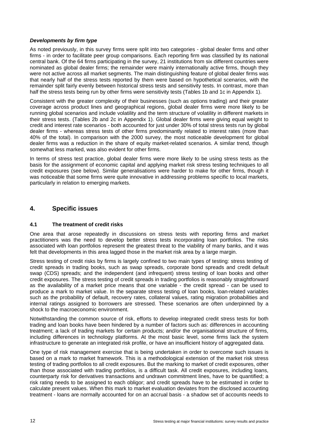### *Developments by firm type*

As noted previously, in this survey firms were split into two categories - global dealer firms and other firms - in order to facilitate peer group comparisons. Each reporting firm was classified by its national central bank. Of the 64 firms participating in the survey, 21 institutions from six different countries were nominated as global dealer firms; the remainder were mainly internationally active firms, though they were not active across all market segments. The main distinguishing feature of global dealer firms was that nearly half of the stress tests reported by them were based on hypothetical scenarios, with the remainder split fairly evenly between historical stress tests and sensitivity tests. In contrast, more than half the stress tests being run by other firms were sensitivity tests (Tables 1b and 1c in Appendix 1).

Consistent with the greater complexity of their businesses (such as options trading) and their greater coverage across product lines and geographical regions, global dealer firms were more likely to be running global scenarios and include volatility and the term structure of volatility in different markets in their stress tests. (Tables 2b and 2c in Appendix 1). Global dealer firms were giving equal weight to credit and interest rate scenarios - both accounted for just under 30% of total stress tests run by global dealer firms - whereas stress tests of other firms predominantly related to interest rates (more than 40% of the total). In comparison with the 2000 survey, the most noticeable development for global dealer firms was a reduction in the share of equity market-related scenarios. A similar trend, though somewhat less marked, was also evident for other firms.

In terms of stress test practice, global dealer firms were more likely to be using stress tests as the basis for the assignment of economic capital and applying market risk stress testing techniques to all credit exposures (see below). Similar generalisations were harder to make for other firms, though it was noticeable that some firms were quite innovative in addressing problems specific to local markets, particularly in relation to emerging markets.

### **4. Specific issues**

### **4.1 The treatment of credit risks**

One area that arose repeatedly in discussions on stress tests with reporting firms and market practitioners was the need to develop better stress tests incorporating loan portfolios. The risks associated with loan portfolios represent the greatest threat to the viability of many banks, and it was felt that developments in this area lagged those in the market risk area by a large margin.

Stress testing of credit risks by firms is largely confined to two main types of testing: stress testing of credit spreads in trading books, such as swap spreads, corporate bond spreads and credit default swap (CDS) spreads; and the independent (and infrequent) stress testing of loan books and other credit exposures. The stress testing of credit spreads in trading portfolios is reasonably straightforward as the availability of a market price means that one variable - the credit spread - can be used to produce a mark to market value. In the separate stress testing of loan books, loan-related variables such as the probability of default, recovery rates, collateral values, rating migration probabilities and internal ratings assigned to borrowers are stressed. These scenarios are often underpinned by a shock to the macroeconomic environment.

Notwithstanding the common source of risk, efforts to develop integrated credit stress tests for both trading and loan books have been hindered by a number of factors such as: differences in accounting treatment; a lack of trading markets for certain products; and/or the organisational structure of firms, including differences in technology platforms. At the most basic level, some firms lack the system infrastructure to generate an integrated risk profile, or have an insufficient history of aggregated data.

One type of risk management exercise that is being undertaken in order to overcome such issues is based on a mark to market framework. This is a methodological extension of the market risk stress testing of trading portfolios to all credit exposures. But the marking to market of credit exposures, other than those associated with trading portfolios, is a difficult task. All credit exposures, including loans, counterparty risk for derivatives transactions and undrawn commitment lines, have to be quantified; a risk rating needs to be assigned to each obligor; and credit spreads have to be estimated in order to calculate present values. When this mark to market evaluation deviates from the disclosed accounting treatment - loans are normally accounted for on an accrual basis - a shadow set of accounts needs to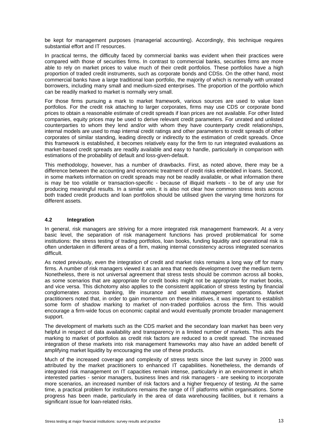be kept for management purposes (managerial accounting). Accordingly, this technique requires substantial effort and IT resources.

In practical terms, the difficulty faced by commercial banks was evident when their practices were compared with those of securities firms. In contrast to commercial banks, securities firms are more able to rely on market prices to value much of their credit portfolios. These portfolios have a high proportion of traded credit instruments, such as corporate bonds and CDSs. On the other hand, most commercial banks have a large traditional loan portfolio, the majority of which is normally with unrated borrowers, including many small and medium-sized enterprises. The proportion of the portfolio which can be readily marked to market is normally very small.

For those firms pursuing a mark to market framework, various sources are used to value loan portfolios. For the credit risk attaching to larger corporates, firms may use CDS or corporate bond prices to obtain a reasonable estimate of credit spreads if loan prices are not available. For other listed companies, equity prices may be used to derive relevant credit parameters. For unrated and unlisted counterparties to whom they lend and/or with whom they have counterparty credit relationships, internal models are used to map internal credit ratings and other parameters to credit spreads of other corporates of similar standing, leading directly or indirectly to the estimation of credit spreads. Once this framework is established, it becomes relatively easy for the firm to run integrated evaluations as market-based credit spreads are readily available and easy to handle, particularly in comparison with estimations of the probability of default and loss-given-default.

This methodology, however, has a number of drawbacks. First, as noted above, there may be a difference between the accounting and economic treatment of credit risks embedded in loans. Second, in some markets information on credit spreads may not be readily available, or what information there is may be too volatile or transaction-specific - because of illiquid markets - to be of any use for producing meaningful results. In a similar vein, it is also not clear how common stress tests across both traded credit products and loan portfolios should be utilised given the varying time horizons for different assets.

### **4.2 Integration**

In general, risk managers are striving for a more integrated risk management framework. At a very basic level, the separation of risk management functions has proved problematical for some institutions: the stress testing of trading portfolios, loan books, funding liquidity and operational risk is often undertaken in different areas of a firm, making internal consistency across integrated scenarios difficult.

As noted previously, even the integration of credit and market risks remains a long way off for many firms. A number of risk managers viewed it as an area that needs development over the medium term. Nonetheless, there is not universal agreement that stress tests should be common across all books, as some scenarios that are appropriate for credit books might not be appropriate for market books, and vice versa. This dichotomy also applies to the consistent application of stress testing by financial conglomerates across banking, life insurance and wealth management operations. Market practitioners noted that, in order to gain momentum on these initiatives, it was important to establish some form of shadow marking to market of non-traded portfolios across the firm. This would encourage a firm-wide focus on economic capital and would eventually promote broader management support.

The development of markets such as the CDS market and the secondary loan market has been very helpful in respect of data availability and transparency in a limited number of markets. This aids the marking to market of portfolios as credit risk factors are reduced to a credit spread. The increased integration of these markets into risk management frameworks may also have an added benefit of amplifying market liquidity by encouraging the use of these products.

Much of the increased coverage and complexity of stress tests since the last survey in 2000 was attributed by the market practitioners to enhanced IT capabilities. Nonetheless, the demands of integrated risk management on IT capacities remain intense, particularly in an environment in which interested parties - senior managers, business lines and risk managers - are seeking to incorporate more scenarios, an increased number of risk factors and a higher frequency of testing. At the same time, a practical problem for institutions remains the range of IT platforms within organisations. Some progress has been made, particularly in the area of data warehousing facilities, but it remains a significant issue for loan-related risks.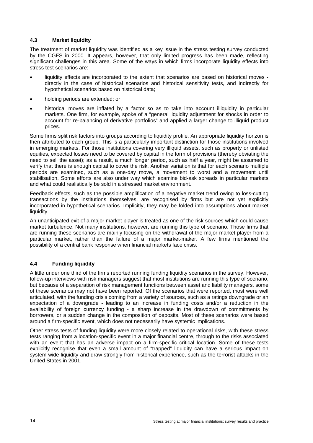### **4.3 Market liquidity**

The treatment of market liquidity was identified as a key issue in the stress testing survey conducted by the CGFS in 2000. It appears, however, that only limited progress has been made, reflecting significant challenges in this area. Some of the ways in which firms incorporate liquidity effects into stress test scenarios are:

- liquidity effects are incorporated to the extent that scenarios are based on historical moves directly in the case of historical scenarios and historical sensitivity tests, and indirectly for hypothetical scenarios based on historical data;
- holding periods are extended; or
- historical moves are inflated by a factor so as to take into account illiquidity in particular markets. One firm, for example, spoke of a "general liquidity adjustment for shocks in order to account for re-balancing of derivative portfolios" and applied a larger change to illiquid product prices.

Some firms split risk factors into groups according to liquidity profile. An appropriate liquidity horizon is then attributed to each group. This is a particularly important distinction for those institutions involved in emerging markets. For those institutions covering very illiquid assets, such as property or unlisted equities, expected losses need to be covered by capital in the form of provisions (thereby obviating the need to sell the asset); as a result, a much longer period, such as half a year, might be assumed to verify that there is enough capital to cover the risk. Another variation is that for each scenario multiple periods are examined, such as a one-day move, a movement to worst and a movement until stabilisation. Some efforts are also under way which examine bid-ask spreads in particular markets and what could realistically be sold in a stressed market environment.

Feedback effects, such as the possible amplification of a negative market trend owing to loss-cutting transactions by the institutions themselves, are recognised by firms but are not yet explicitly incorporated in hypothetical scenarios. Implicitly, they may be folded into assumptions about market liquidity.

An unanticipated exit of a major market player is treated as one of the risk sources which could cause market turbulence. Not many institutions, however, are running this type of scenario. Those firms that are running these scenarios are mainly focusing on the withdrawal of the major market player from a particular market, rather than the failure of a major market-maker. A few firms mentioned the possibility of a central bank response when financial markets face crisis.

### **4.4 Funding liquidity**

A little under one third of the firms reported running funding liquidity scenarios in the survey. However, follow-up interviews with risk managers suggest that most institutions are running this type of scenario, but because of a separation of risk management functions between asset and liability managers, some of these scenarios may not have been reported. Of the scenarios that were reported, most were well articulated, with the funding crisis coming from a variety of sources, such as a ratings downgrade or an expectation of a downgrade - leading to an increase in funding costs and/or a reduction in the availability of foreign currency funding - a sharp increase in the drawdown of commitments by borrowers, or a sudden change in the composition of deposits. Most of these scenarios were based around a firm-specific event, which does not necessarily have systemic implications.

Other stress tests of funding liquidity were more closely related to operational risks, with these stress tests ranging from a location-specific event in a major financial centre, through to the risks associated with an event that has an adverse impact on a firm-specific critical location. Some of these tests explicitly recognise that even a small amount of "trapped" liquidity can have a serious impact on system-wide liquidity and draw strongly from historical experience, such as the terrorist attacks in the United States in 2001.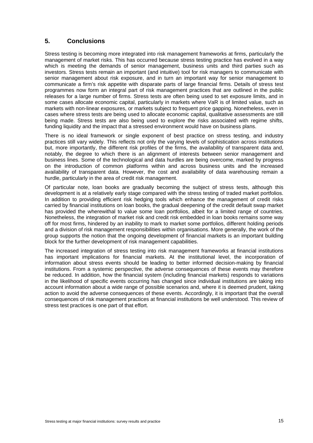### **5. Conclusions**

Stress testing is becoming more integrated into risk management frameworks at firms, particularly the management of market risks. This has occurred because stress testing practice has evolved in a way which is meeting the demands of senior management, business units and third parties such as investors. Stress tests remain an important (and intuitive) tool for risk managers to communicate with senior management about risk exposure, and in turn an important way for senior management to communicate a firm's risk appetite with disparate parts of large financial firms. Details of stress test programmes now form an integral part of risk management practices that are outlined in the public releases for a large number of firms. Stress tests are often being used to set exposure limits, and in some cases allocate economic capital, particularly in markets where VaR is of limited value, such as markets with non-linear exposures, or markets subject to frequent price gapping. Nonetheless, even in cases where stress tests are being used to allocate economic capital, qualitative assessments are still being made. Stress tests are also being used to explore the risks associated with regime shifts, funding liquidity and the impact that a stressed environment would have on business plans.

There is no ideal framework or single exponent of best practice on stress testing, and industry practices still vary widely. This reflects not only the varying levels of sophistication across institutions but, more importantly, the different risk profiles of the firms, the availability of transparent data and, notably, the degree to which there is an alignment of interests between senior management and business lines. Some of the technological and data hurdles are being overcome, marked by progress on the introduction of common platforms within and across business units and the increased availability of transparent data. However, the cost and availability of data warehousing remain a hurdle, particularly in the area of credit risk management.

Of particular note, loan books are gradually becoming the subject of stress tests, although this development is at a relatively early stage compared with the stress testing of traded market portfolios. In addition to providing efficient risk hedging tools which enhance the management of credit risks carried by financial institutions on loan books, the gradual deepening of the credit default swap market has provided the wherewithal to value some loan portfolios, albeit for a limited range of countries. Nonetheless, the integration of market risk and credit risk embedded in loan books remains some way off for most firms, hindered by an inability to mark to market some portfolios, different holding periods and a division of risk management responsibilities within organisations. More generally, the work of the group supports the notion that the ongoing development of financial markets is an important building block for the further development of risk management capabilities.

The increased integration of stress testing into risk management frameworks at financial institutions has important implications for financial markets. At the institutional level, the incorporation of information about stress events should be leading to better informed decision-making by financial institutions. From a systemic perspective, the adverse consequences of these events may therefore be reduced. In addition, how the financial system (including financial markets) responds to variations in the likelihood of specific events occurring has changed since individual institutions are taking into account information about a wide range of possible scenarios and, where it is deemed prudent, taking action to avoid the adverse consequences of these events. Accordingly, it is important that the overall consequences of risk management practices at financial institutions be well understood. This review of stress test practices is one part of that effort.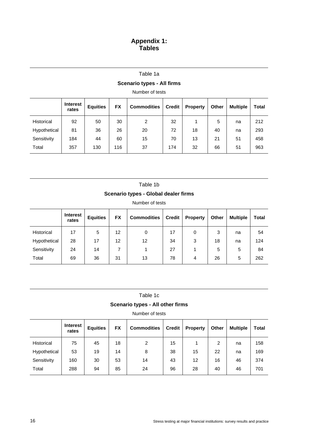### **Appendix 1: Tables**

### **Scenario types - All firms**

Number of tests

|              | <b>Interest</b><br>rates | <b>Equities</b> | <b>FX</b> | <b>Commodities</b> | <b>Credit</b> | <b>Property</b> | Other | <b>Multiple</b> | Total |
|--------------|--------------------------|-----------------|-----------|--------------------|---------------|-----------------|-------|-----------------|-------|
| Historical   | 92                       | 50              | 30        | 2                  | 32            |                 | 5     | na              | 212   |
| Hypothetical | 81                       | 36              | 26        | 20                 | 72            | 18              | 40    | na              | 293   |
| Sensitivity  | 184                      | 44              | 60        | 15                 | 70            | 13              | 21    | 51              | 458   |
| Total        | 357                      | 130             | 116       | 37                 | 174           | 32              | 66    | 51              | 963   |

Table 1b

### **Scenario types - Global dealer firms**

Number of tests

|              | <b>Interest</b><br>rates | <b>Equities</b> | <b>FX</b> | <b>Commodities</b> | <b>Credit</b> | <b>Property</b> | Other | <b>Multiple</b> | Total |
|--------------|--------------------------|-----------------|-----------|--------------------|---------------|-----------------|-------|-----------------|-------|
| Historical   | 17                       | 5               | 12        | 0                  | 17            | 0               | 3     | na              | 54    |
| Hypothetical | 28                       | 17              | 12        | 12                 | 34            | 3               | 18    | na              | 124   |
| Sensitivity  | 24                       | 14              |           |                    | 27            |                 | 5     | 5               | 84    |
| Total        | 69                       | 36              | 31        | 13                 | 78            | 4               | 26    | 5               | 262   |

| Table 1c |  |
|----------|--|
|----------|--|

### **Scenario types - All other firms**

|              | <b>Interest</b><br>rates | <b>Equities</b> | <b>FX</b> | <b>Commodities</b> | <b>Credit</b> | <b>Property</b> | Other | <b>Multiple</b> | Total |
|--------------|--------------------------|-----------------|-----------|--------------------|---------------|-----------------|-------|-----------------|-------|
| Historical   | 75                       | 45              | 18        | 2                  | 15            |                 | 2     | na              | 158   |
| Hypothetical | 53                       | 19              | 14        | 8                  | 38            | 15              | 22    | na              | 169   |
| Sensitivity  | 160                      | 30              | 53        | 14                 | 43            | 12              | 16    | 46              | 374   |
| Total        | 288                      | 94              | 85        | 24                 | 96            | 28              | 40    | 46              | 701   |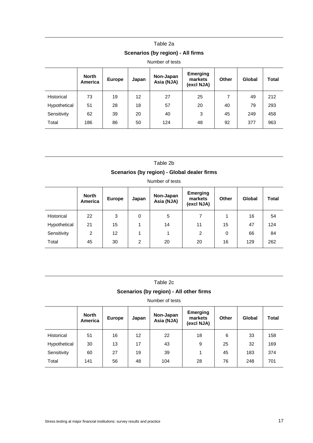# Table 2a

# **Scenarios (by region) - All firms**

Number of tests

|                   | <b>North</b><br>America | <b>Europe</b> | Japan | Non-Japan<br>Asia (NJA) | <b>Emerging</b><br>markets<br>(excl NJA) | <b>Other</b> | Global | <b>Total</b> |
|-------------------|-------------------------|---------------|-------|-------------------------|------------------------------------------|--------------|--------|--------------|
| <b>Historical</b> | 73                      | 19            | 12    | 27                      | 25                                       | 7            | 49     | 212          |
| Hypothetical      | 51                      | 28            | 18    | 57                      | 20                                       | 40           | 79     | 293          |
| Sensitivity       | 62                      | 39            | 20    | 40                      | 3                                        | 45           | 249    | 458          |
| Total             | 186                     | 86            | 50    | 124                     | 48                                       | 92           | 377    | 963          |

### Table 2b

### **Scenarios (by region) - Global dealer firms**

Number of tests

|              | <b>North</b><br>America | <b>Europe</b> | Japan | Non-Japan<br>Asia (NJA) | <b>Emerging</b><br>markets<br>(excl NJA) | <b>Other</b> | Global | <b>Total</b> |
|--------------|-------------------------|---------------|-------|-------------------------|------------------------------------------|--------------|--------|--------------|
| Historical   | 22                      | 3             | 0     | 5                       | 7                                        |              | 16     | 54           |
| Hypothetical | 21                      | 15            |       | 14                      | 11                                       | 15           | 47     | 124          |
| Sensitivity  | 2                       | 12            |       | 1                       | $\overline{2}$                           | 0            | 66     | 84           |
| Total        | 45                      | 30            | 2     | 20                      | 20                                       | 16           | 129    | 262          |

| Table 2c |  |
|----------|--|
|----------|--|

### **Scenarios (by region) - All other firms**

|                   | <b>North</b><br>America | <b>Europe</b> | Japan             | Non-Japan<br>Asia (NJA) | <b>Emerging</b><br>markets<br>(excl NJA) | <b>Other</b> | Global | <b>Total</b> |
|-------------------|-------------------------|---------------|-------------------|-------------------------|------------------------------------------|--------------|--------|--------------|
| <b>Historical</b> | 51                      | 16            | $12 \overline{ }$ | 22                      | 18                                       | 6            | 33     | 158          |
| Hypothetical      | 30                      | 13            | 17                | 43                      | 9                                        | 25           | 32     | 169          |
| Sensitivity       | 60                      | 27            | 19                | 39                      |                                          | 45           | 183    | 374          |
| Total             | 141                     | 56            | 48                | 104                     | 28                                       | 76           | 248    | 701          |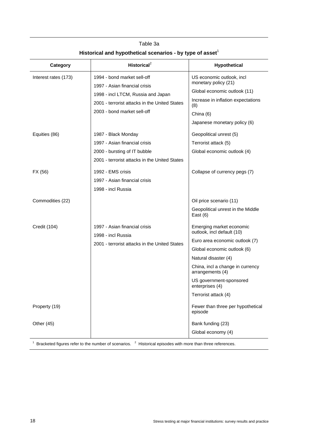| Category             | Historical <sup>2</sup>                                                                                                                                                            | Hypothetical                                                                                                                                                                                                                                                                  |
|----------------------|------------------------------------------------------------------------------------------------------------------------------------------------------------------------------------|-------------------------------------------------------------------------------------------------------------------------------------------------------------------------------------------------------------------------------------------------------------------------------|
| Interest rates (173) | 1994 - bond market sell-off<br>1997 - Asian financial crisis<br>1998 - incl LTCM, Russia and Japan<br>2001 - terrorist attacks in the United States<br>2003 - bond market sell-off | US economic outlook, incl.<br>monetary policy (21)<br>Global economic outlook (11)<br>Increase in inflation expectations<br>(8)<br>China (6)<br>Japanese monetary policy (6)                                                                                                  |
| Equities (86)        | 1987 - Black Monday<br>1997 - Asian financial crisis<br>2000 - bursting of IT bubble<br>2001 - terrorist attacks in the United States                                              | Geopolitical unrest (5)<br>Terrorist attack (5)<br>Global economic outlook (4)                                                                                                                                                                                                |
| FX (56)              | 1992 - EMS crisis<br>1997 - Asian financial crisis<br>1998 - incl Russia                                                                                                           | Collapse of currency pegs (7)                                                                                                                                                                                                                                                 |
| Commodities (22)     |                                                                                                                                                                                    | Oil price scenario (11)<br>Geopolitical unrest in the Middle<br>East $(6)$                                                                                                                                                                                                    |
| Credit (104)         | 1997 - Asian financial crisis<br>1998 - incl Russia<br>2001 - terrorist attacks in the United States                                                                               | Emerging market economic<br>outlook, incl default (10)<br>Euro area economic outlook (7)<br>Global economic outlook (6)<br>Natural disaster (4)<br>China, incl a change in currency<br>arrangements (4)<br>US government-sponsored<br>enterprises (4)<br>Terrorist attack (4) |
| Property (19)        |                                                                                                                                                                                    | Fewer than three per hypothetical<br>episode                                                                                                                                                                                                                                  |
| Other (45)           |                                                                                                                                                                                    | Bank funding (23)<br>Global economy (4)                                                                                                                                                                                                                                       |
|                      | Bracketed figures refer to the number of scenarios. <sup>2</sup> Historical episodes with more than three references.                                                              |                                                                                                                                                                                                                                                                               |

Table 3a Historical and hypothetical scenarios - by type of asset<sup>1</sup>

18 Stress testing at major financial institutions: survey results and practice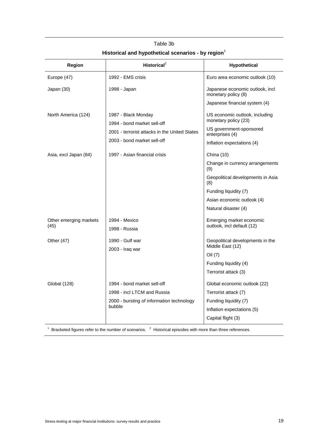| Region                         | Historical <sup>2</sup>                            | Hypothetical                                           |
|--------------------------------|----------------------------------------------------|--------------------------------------------------------|
| Europe (47)                    | 1992 - EMS crisis                                  | Euro area economic outlook (10)                        |
| Japan (30)                     | 1998 - Japan                                       | Japanese economic outlook, incl<br>monetary policy (8) |
|                                |                                                    | Japanese financial system (4)                          |
| North America (124)            | 1987 - Black Monday<br>1994 - bond market sell-off | US economic outlook, including<br>monetary policy (23) |
|                                | 2001 - terrorist attacks in the United States      | US government-sponsored<br>enterprises (4)             |
|                                | 2003 - bond market sell-off                        | Inflation expectations (4)                             |
| Asia, excl Japan (84)          | 1997 - Asian financial crisis                      | China (10)                                             |
|                                |                                                    | Change in currency arrangements<br>(9)                 |
|                                |                                                    | Geopolitical developments in Asia<br>(8)               |
|                                |                                                    | Funding liquidity (7)                                  |
|                                |                                                    | Asian economic outlook (4)                             |
|                                |                                                    | Natural disaster (4)                                   |
| Other emerging markets<br>(45) | 1994 - Mexico                                      | Emerging market economic<br>outlook, incl default (12) |
|                                | 1998 - Russia                                      |                                                        |
| Other (47)                     | 1990 - Gulf war<br>2003 - Iraq war                 | Geopolitical developments in the<br>Middle East (12)   |
|                                |                                                    | Oil (7)                                                |
|                                |                                                    | Funding liquidity (4)                                  |
|                                |                                                    | Terrorist attack (3)                                   |
| <b>Global (128)</b>            | 1994 - bond market sell-off                        | Global economic outlook (22)                           |
|                                | 1998 - incl LTCM and Russia                        | Terrorist attack (7)                                   |
|                                | 2000 - bursting of information technology          | Funding liquidity (7)                                  |
|                                | bubble                                             | Inflation expectations (5)                             |
|                                |                                                    | Capital flight (3)                                     |

# Table 3b **Historical and hypothetical scenarios - by region**<sup>1</sup>

 $1$  Bracketed figures refer to the number of scenarios.  $2$  Historical episodes with more than three references.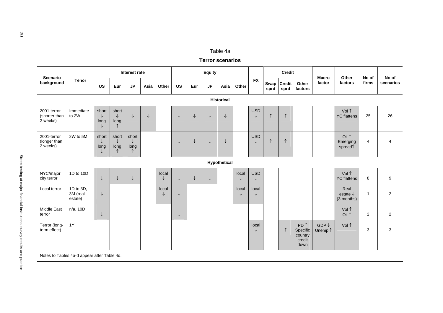|                                          |                                  |                                    |                                             |                         |               |            |              |              | <b>Terror scenarios</b> | Table 4a |            |                            |              |                       |                                                          |                             |                                           |                |                    |
|------------------------------------------|----------------------------------|------------------------------------|---------------------------------------------|-------------------------|---------------|------------|--------------|--------------|-------------------------|----------|------------|----------------------------|--------------|-----------------------|----------------------------------------------------------|-----------------------------|-------------------------------------------|----------------|--------------------|
| Scenario<br>background                   | <b>Tenor</b>                     |                                    | Interest rate                               |                         | <b>Equity</b> |            |              |              | Credit                  |          |            | <b>Macro</b>               | Other        | No of                 |                                                          |                             |                                           |                |                    |
|                                          |                                  | <b>US</b>                          | Eur                                         | $\mathsf{JP}$           | Asia          | Other      | <b>US</b>    | Eur          | JP                      | Asia     | Other      | <b>FX</b>                  | Swap<br>sprd | <b>Credit</b><br>sprd | Other<br>factors                                         | factor                      | factors                                   | firms          | No of<br>scenarios |
| <b>Historical</b>                        |                                  |                                    |                                             |                         |               |            |              |              |                         |          |            |                            |              |                       |                                                          |                             |                                           |                |                    |
| 2001-terror<br>(shorter than<br>2 weeks) | Immediate<br>to 2W               | short<br>$\downarrow$<br>long<br>↓ | short<br>$\downarrow$<br>long<br>$\uparrow$ | ↓                       | $\downarrow$  |            | $\downarrow$ | ↓            | ↓                       | ↓        |            | <b>USD</b><br>↓            | $\uparrow$   | $\uparrow$            |                                                          |                             | Vol 1<br><b>YC</b> flattens               | 25             | 26                 |
| 2001-terror<br>(longer than<br>2 weeks)  | 2W to 5M                         | short<br>↓<br>long                 | short<br>↓<br>long                          | short<br>↓<br>long<br>↑ |               |            | ↓            | ↓            | ↓                       | ↓        |            | <b>USD</b>                 | $\uparrow$   | $\uparrow$            |                                                          |                             | Oil 1<br>Emerging<br>spread               | 4              |                    |
| Hypothetical                             |                                  |                                    |                                             |                         |               |            |              |              |                         |          |            |                            |              |                       |                                                          |                             |                                           |                |                    |
| NYC/major<br>city terror                 | 1D to 10D                        | $\downarrow$                       | $\downarrow$                                | $\downarrow$            |               | local<br>↓ | $\downarrow$ | $\downarrow$ | $\downarrow$            |          | local<br>↓ | <b>USD</b><br>$\downarrow$ |              |                       |                                                          |                             | Vol 1<br><b>YC</b> flattens               | 8              |                    |
| Local terror                             | 1D to 3D,<br>3M (real<br>estate) | $\downarrow$                       |                                             |                         |               | local<br>↓ | $\downarrow$ |              |                         |          | local<br>↓ | local<br>↓                 |              |                       |                                                          |                             | Real<br>estate $\downarrow$<br>(3 months) | $\mathbf{1}$   |                    |
| Middle East<br>terror                    | n/a, 10D                         | $\downarrow$                       |                                             |                         |               |            | $\downarrow$ |              |                         |          |            |                            |              |                       |                                                          |                             | Vol 1<br>Oil 1                            | $\overline{2}$ |                    |
| Terror (long-<br>term effect)            | $1Y$                             |                                    |                                             |                         |               |            |              |              |                         |          |            | local<br>J                 |              | $\uparrow$            | PD <sup>1</sup><br>Specific<br>country<br>credit<br>down | GDP $\downarrow$<br>Unemp 1 | Vol 1                                     | 3              |                    |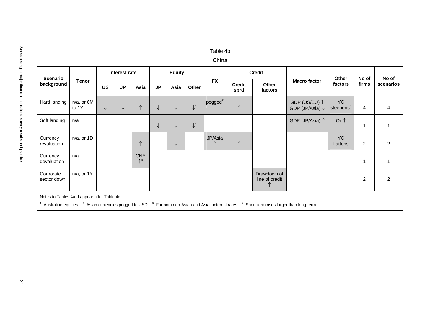# Stress testing at major financial institutions: survey results and practice 21 Table 4b **China Interest rate Equity Credit Scenario background Tenor US JP Asia JP Asia Other FX Credit sprd Other factors Macro factor Other factors No of firms No of scenarios** Hard landing n/a, or 6M to 1Y <sup>↓</sup> <sup>↓</sup> <sup>↑</sup> <sup>↓</sup> <sup>↓</sup> <sup>↓</sup><sup>1</sup> pegged<sup>2</sup> <sup>↑</sup> GDP (US/EU) <sup>↑</sup> GDP (JP/Asia) <sup>↓</sup> YC steepens3 4 4 Soft landing n/a <sup>↓</sup> <sup>↓</sup> <sup>↓</sup><sup>1</sup> GDP (JP/Asia) <sup>↑</sup> Oil <sup>↑</sup> 1 1 Currency revaluation n/a, or 1D <sup>↑</sup> <sup>↓</sup> JP/Asia <sup>↑</sup> <sup>↑</sup> YC flattens 2 2 Currency devaluation n/a CNY <sup>↑</sup><sup>4</sup> 1 1 Corporate sector down n/a, or 1Y Drawdown of line of credit <sup>↑</sup> 2 2 Notes to Tables 4a-d appear after Table 4d. 1 Australian equities. 2 Asian currencies pegged to USD. 3 For both non-Asian and Asian interest rates. 4 Short-term rises larger than long-term.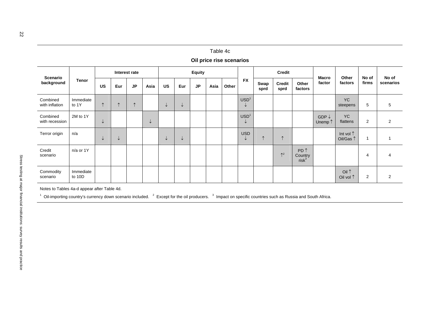|                                                                                                                                                                                                                    |                     |               |              |            |               |              |              |               | Table 4c | Oil price rise scenarios |                                  |              |                       |                                        |                             |                        |                |           |
|--------------------------------------------------------------------------------------------------------------------------------------------------------------------------------------------------------------------|---------------------|---------------|--------------|------------|---------------|--------------|--------------|---------------|----------|--------------------------|----------------------------------|--------------|-----------------------|----------------------------------------|-----------------------------|------------------------|----------------|-----------|
|                                                                                                                                                                                                                    | <b>Tenor</b>        | Interest rate |              |            | <b>Equity</b> |              |              |               |          | <b>Credit</b>            |                                  |              |                       |                                        | No of                       |                        |                |           |
| Scenario<br>background                                                                                                                                                                                             |                     | <b>US</b>     | Eur          | JP         | Asia          | <b>US</b>    | Eur          | $\mathsf{JP}$ | Asia     | Other                    | <b>FX</b>                        | Swap<br>sprd | <b>Credit</b><br>sprd | Other<br>factors                       | <b>Macro</b><br>factor      | Other<br>factors       | No of<br>firms | scenarios |
| Combined<br>with inflation                                                                                                                                                                                         | Immediate<br>to 1Y  | $\uparrow$    | $\uparrow$   | $\uparrow$ |               | $\downarrow$ | $\downarrow$ |               |          |                          | USD <sup>1</sup><br>↓            |              |                       |                                        |                             | <b>YC</b><br>steepens  | $\sqrt{5}$     |           |
| Combined<br>with recession                                                                                                                                                                                         | 2M to 1Y            | $\downarrow$  |              |            | $\downarrow$  |              |              |               |          |                          | USD <sup>1</sup><br>$\downarrow$ |              |                       |                                        | GDP $\downarrow$<br>Unemp 1 | <b>YC</b><br>flattens  | $\overline{2}$ |           |
| Terror origin                                                                                                                                                                                                      | n/a                 | $\downarrow$  | $\downarrow$ |            |               | $\downarrow$ | $\downarrow$ |               |          |                          | <b>USD</b><br>↓                  | $\uparrow$   | $\uparrow$            |                                        |                             | Int vol 1<br>Oil/Gas 1 | $\mathbf{1}$   |           |
| Credit<br>scenario                                                                                                                                                                                                 | n/a or 1Y           |               |              |            |               |              |              |               |          |                          |                                  |              | $\uparrow^2$          | PD <sup>1</sup><br>Country<br>$risk^3$ |                             |                        | 4              |           |
| Commodity<br>scenario                                                                                                                                                                                              | Immediate<br>to 10D |               |              |            |               |              |              |               |          |                          |                                  |              |                       |                                        |                             | Oil 1<br>Oil vol 1     | $\overline{2}$ |           |
| Notes to Tables 4a-d appear after Table 4d.<br>$^1$ Oil-importing country's currency down scenario included. $^2$ Except for the oil producers. $^3$ Impact on specific countries such as Russia and South Africa. |                     |               |              |            |               |              |              |               |          |                          |                                  |              |                       |                                        |                             |                        |                |           |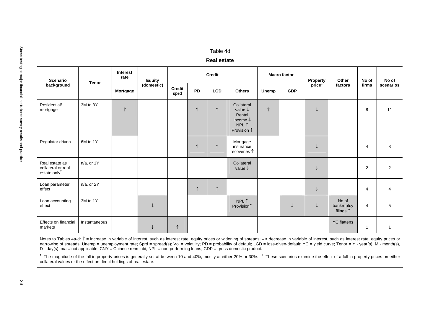| <b>Scenario</b>                                                                                                                                                                                                                                                                                                                                                                                                                                                                                                                                                                                                                                                                                                                                                                                                                    | <b>Tenor</b>    | <b>Interest</b><br>rate | <b>Equity</b> |                       |            | <b>Credit</b> |                                                                                           |              | <b>Macro factor</b> | Property           | Other                              | No of          | No of          |
|------------------------------------------------------------------------------------------------------------------------------------------------------------------------------------------------------------------------------------------------------------------------------------------------------------------------------------------------------------------------------------------------------------------------------------------------------------------------------------------------------------------------------------------------------------------------------------------------------------------------------------------------------------------------------------------------------------------------------------------------------------------------------------------------------------------------------------|-----------------|-------------------------|---------------|-----------------------|------------|---------------|-------------------------------------------------------------------------------------------|--------------|---------------------|--------------------|------------------------------------|----------------|----------------|
| background                                                                                                                                                                                                                                                                                                                                                                                                                                                                                                                                                                                                                                                                                                                                                                                                                         |                 | Mortgage                | (domestic)    | <b>Credit</b><br>sprd | <b>PD</b>  | <b>LGD</b>    | <b>Others</b>                                                                             | <b>Unemp</b> | <b>GDP</b>          | price <sup>1</sup> | factors                            | firms          | scenarios      |
| Residential/<br>mortgage                                                                                                                                                                                                                                                                                                                                                                                                                                                                                                                                                                                                                                                                                                                                                                                                           | 3M to 3Y        | $\uparrow$              |               |                       | $\uparrow$ | $\uparrow$    | Collateral<br>value $\downarrow$<br>Rental<br>income $\downarrow$<br>NPL 1<br>Provision 1 | $\uparrow$   |                     | ↓                  |                                    | 8              | 11             |
| Regulator driven                                                                                                                                                                                                                                                                                                                                                                                                                                                                                                                                                                                                                                                                                                                                                                                                                   | 6M to 1Y        |                         |               |                       | $\uparrow$ | $\uparrow$    | Mortgage<br>insurance<br>recoveries 1                                                     |              |                     | ↓                  |                                    | 4              | 8              |
| Real estate as<br>collateral or real<br>estate only $^{2}$                                                                                                                                                                                                                                                                                                                                                                                                                                                                                                                                                                                                                                                                                                                                                                         | $n/a$ . or $1Y$ |                         |               |                       |            |               | Collateral<br>value $\downarrow$                                                          |              |                     | ↓                  |                                    | $\overline{2}$ | $\overline{2}$ |
| Loan parameter<br>effect                                                                                                                                                                                                                                                                                                                                                                                                                                                                                                                                                                                                                                                                                                                                                                                                           | $n/a$ , or $2Y$ |                         |               |                       | $\uparrow$ | $\uparrow$    |                                                                                           |              |                     | ↓                  |                                    | 4              | 4              |
| Loan accounting<br>effect                                                                                                                                                                                                                                                                                                                                                                                                                                                                                                                                                                                                                                                                                                                                                                                                          | 3M to 1Y        |                         | $\downarrow$  |                       |            |               | NPL↑<br>Provision <sup>1</sup>                                                            |              | ↓                   | $\downarrow$       | No of<br>bankruptcy<br>filings $†$ | $\overline{4}$ | 5              |
| Effects on financial<br>markets                                                                                                                                                                                                                                                                                                                                                                                                                                                                                                                                                                                                                                                                                                                                                                                                    | Instantaneous   |                         | $\downarrow$  | $\uparrow$            |            |               |                                                                                           |              |                     |                    | <b>YC</b> flattens                 | $\mathbf{1}$   | $\overline{1}$ |
| Notes to Tables 4a-d: 1 = increase in variable of interest, such as interest rate, equity prices or widening of spreads; ↓ = decrease in variable of interest, such as interest rate, equity prices or<br>narrowing of spreads; Unemp = unemployment rate; Sprd = spread(s); Vol = volatility; PD = probability of default; LGD = loss-given-default; YC = yield curve; Tenor = Y - year(s); M - month(s),<br>D - day(s); $n/a$ = not applicable; CNY = Chinese renminbi; NPL = non-performing loans; GDP = gross domestic product.<br><sup>1</sup> The magnitude of the fall in property prices is generally set at between 10 and 40%, mostly at either 20% or 30%. <sup>2</sup> These scenarios examine the effect of a fall in property prices on either<br>collateral values or the effect on direct holdings of real estate. |                 |                         |               |                       |            |               |                                                                                           |              |                     |                    |                                    |                |                |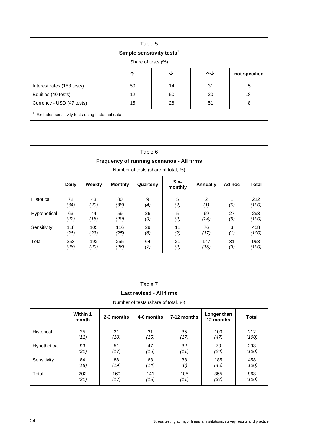# Table 5

### **Simple sensitivity tests<sup>1</sup>**

| Share of tests (%)         |    |    |    |               |  |  |  |  |  |  |  |
|----------------------------|----|----|----|---------------|--|--|--|--|--|--|--|
|                            | ́∩ | V  | ᠰᠰ | not specified |  |  |  |  |  |  |  |
| Interest rates (153 tests) | 50 | 14 | 31 | 5             |  |  |  |  |  |  |  |
| Equities (40 tests)        | 12 | 50 | 20 | 18            |  |  |  |  |  |  |  |
| Currency - USD (47 tests)  | 15 | 26 | 51 | 8             |  |  |  |  |  |  |  |

 $1$  Excludes sensitivity tests using historical data.

| าท<br>۱Е |  |
|----------|--|
|----------|--|

### **Frequency of running scenarios - All firms**

|                   | <b>Daily</b> | Weekly     | <b>Monthly</b> | Quarterly | Six-<br>monthly | <b>Annually</b> | Ad hoc | <b>Total</b> |
|-------------------|--------------|------------|----------------|-----------|-----------------|-----------------|--------|--------------|
| <b>Historical</b> | 72<br>(34)   | 43<br>(20) | 80<br>(38)     | 9<br>(4)  | 5<br>(2)        | 2<br>(1)        | (0)    | 212<br>(100) |
| Hypothetical      | 63           | 44         | 59             | 26        | 5               | 69              | 27     | 293          |
|                   | (22)         | (15)       | (20)           | (9)       | (2)             | (24)            | (9)    | (100)        |
| Sensitivity       | 118          | 105        | 116            | 29        | 11              | 76              | 3      | 458          |
|                   | (26)         | (23)       | (25)           | (6)       | (2)             | (17)            | (1)    | (100)        |
| Total             | 253          | 192        | 255            | 64        | 21              | 147             | 31     | 963          |
|                   | (26)         | (20)       | (26)           | (7)       | (2)             | (15)            | (3)    | (100)        |

Number of tests (share of total, %)

|  |  | ılı<br>aг |  |
|--|--|-----------|--|
|--|--|-----------|--|

### **Last revised - All firms**

Number of tests (share of total, %)

|              | Within 1<br>month | 2-3 months | 4-6 months | 7-12 months | Longer than<br>12 months | <b>Total</b> |
|--------------|-------------------|------------|------------|-------------|--------------------------|--------------|
| Historical   | 25                | 21         | 31         | 35          | 100                      | 212          |
|              | (12)              | (10)       | (15)       | (17)        | (47)                     | (100)        |
| Hypothetical | 93                | 51         | 47         | 32          | 70                       | 293          |
|              | (32)              | (17)       | (16)       | (11)        | (24)                     | (100)        |
| Sensitivity  | 84                | 88         | 63         | 38          | 185                      | 458          |
|              | (18)              | (19)       | (14)       | (8)         | (40)                     | (100)        |
| Total        | 202               | 160        | 141        | 105         | 355                      | 963          |
|              | (21)              | (17)       | (15)       | (11)        | (37)                     | (100)        |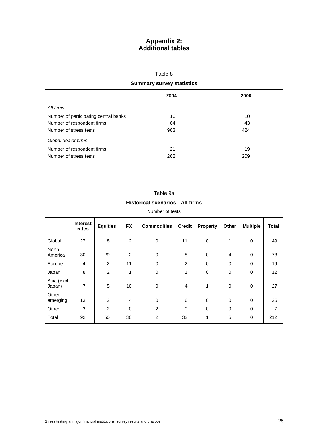### **Appendix 2: Additional tables**

Table 8

| <b>Summary survey statistics</b>      |      |      |  |  |  |  |  |  |  |
|---------------------------------------|------|------|--|--|--|--|--|--|--|
|                                       | 2004 | 2000 |  |  |  |  |  |  |  |
| All firms                             |      |      |  |  |  |  |  |  |  |
| Number of participating central banks | 16   | 10   |  |  |  |  |  |  |  |
| Number of respondent firms            | 64   | 43   |  |  |  |  |  |  |  |
| Number of stress tests                | 963  | 424  |  |  |  |  |  |  |  |
| Global dealer firms                   |      |      |  |  |  |  |  |  |  |
| Number of respondent firms            | 21   | 19   |  |  |  |  |  |  |  |
| Number of stress tests                | 262  | 209  |  |  |  |  |  |  |  |

# Table 9a **Historical scenarios - All firms**

|                         | Interest<br>rates | <b>Equities</b> | <b>FX</b>      | <b>Commodities</b> | <b>Credit</b>  | <b>Property</b> | Other       | <b>Multiple</b> | <b>Total</b> |
|-------------------------|-------------------|-----------------|----------------|--------------------|----------------|-----------------|-------------|-----------------|--------------|
| Global                  | 27                | 8               | $\overline{2}$ | 0                  | 11             | $\mathbf 0$     | 1           | $\mathbf 0$     | 49           |
| <b>North</b><br>America | 30                | 29              | $\overline{2}$ | $\mathbf 0$        | 8              | $\Omega$        | 4           | $\mathbf 0$     | 73           |
| Europe                  | 4                 | $\overline{2}$  | 11             | $\mathbf 0$        | $\overline{2}$ | $\mathbf 0$     | $\mathbf 0$ | $\mathbf 0$     | 19           |
| Japan                   | 8                 | $\overline{2}$  | 1              | 0                  | $\mathbf{1}$   | $\mathbf 0$     | 0           | $\mathbf 0$     | 12           |
| Asia (excl<br>Japan)    | 7                 | 5               | 10             | 0                  | 4              | 1               | $\pmb{0}$   | $\mathbf 0$     | 27           |
| Other<br>emerging       | 13                | $\overline{2}$  | 4              | $\mathbf 0$        | 6              | $\mathbf 0$     | $\mathbf 0$ | $\mathbf 0$     | 25           |
| Other                   | 3                 | $\overline{2}$  | 0              | $\overline{2}$     | 0              | $\mathbf 0$     | $\mathbf 0$ | $\mathbf 0$     | 7            |
| Total                   | 92                | 50              | 30             | $\overline{c}$     | 32             | 1               | 5           | $\mathbf 0$     | 212          |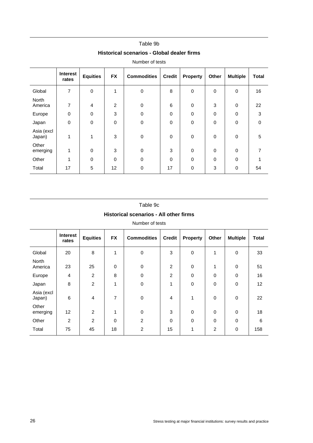|                         |                   |                 |                | Historical scenarios - Global dealer firms |               |                 |       |                 |              |
|-------------------------|-------------------|-----------------|----------------|--------------------------------------------|---------------|-----------------|-------|-----------------|--------------|
|                         |                   |                 |                | Number of tests                            |               |                 |       |                 |              |
|                         | Interest<br>rates | <b>Equities</b> | <b>FX</b>      | <b>Commodities</b>                         | <b>Credit</b> | <b>Property</b> | Other | <b>Multiple</b> | <b>Total</b> |
| Global                  | $\overline{7}$    | 0               | 1              | 0                                          | 8             | 0               | 0     | 0               | 16           |
| <b>North</b><br>America | 7                 | 4               | $\overline{2}$ | 0                                          | 6             | $\Omega$        | 3     | $\Omega$        | 22           |
| Europe                  | $\mathbf 0$       | 0               | 3              | $\mathbf 0$                                | 0             | 0               | 0     | 0               | 3            |
| Japan                   | 0                 | 0               | $\mathbf 0$    | 0                                          | 0             | 0               | 0     | 0               | $\Omega$     |
| Asia (excl<br>Japan)    | 1                 | 1               | 3              | $\mathbf 0$                                | 0             | $\Omega$        | 0     | 0               | $\sqrt{5}$   |
| Other<br>emerging       | 1                 | 0               | 3              | 0                                          | 3             | $\Omega$        | 0     | 0               | 7            |
| Other                   |                   | 0               | 0              | 0                                          | 0             | 0               | 0     | 0               |              |

# Table 9b

### Table 9c

Total | 17 | 5 | 12 | 0 | 17 | 0 | 3 | 0 | 54

### **Historical scenarios - All other firms**

|                         | <b>Interest</b><br>rates | <b>Equities</b> | <b>FX</b>      | <b>Commodities</b> | <b>Credit</b>  | <b>Property</b> | Other          | <b>Multiple</b> | <b>Total</b> |
|-------------------------|--------------------------|-----------------|----------------|--------------------|----------------|-----------------|----------------|-----------------|--------------|
| Global                  | 20                       | 8               | 1              | $\mathbf 0$        | 3              | $\mathbf 0$     | 1              | 0               | 33           |
| <b>North</b><br>America | 23                       | 25              | $\mathbf 0$    | $\mathbf 0$        | $\overline{c}$ | $\mathbf 0$     | 1              | $\mathbf 0$     | 51           |
| Europe                  | $\overline{4}$           | $\overline{2}$  | 8              | $\mathbf 0$        | $\overline{c}$ | $\mathbf 0$     | $\mathbf 0$    | 0               | 16           |
| Japan                   | 8                        | $\overline{c}$  | 1              | $\mathbf 0$        | $\mathbf{1}$   | $\mathbf 0$     | $\mathbf 0$    | 0               | 12           |
| Asia (excl<br>Japan)    | 6                        | 4               | $\overline{7}$ | $\mathbf 0$        | 4              | $\mathbf{1}$    | $\mathbf 0$    | $\mathbf 0$     | 22           |
| Other<br>emerging       | 12                       | 2               | 1              | $\mathbf 0$        | 3              | $\mathbf 0$     | 0              | $\mathbf 0$     | 18           |
| Other                   | $\overline{c}$           | $\overline{2}$  | $\mathbf 0$    | $\overline{2}$     | 0              | $\mathbf 0$     | $\mathbf 0$    | $\mathbf 0$     | 6            |
| Total                   | 75                       | 45              | 18             | 2                  | 15             | 1               | $\overline{c}$ | 0               | 158          |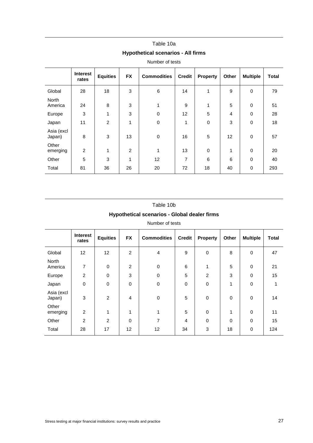# Table 10a **Hypothetical scenarios - All firms**

|                         | <b>Interest</b><br>rates | <b>Equities</b> | <b>FX</b>      | <b>Commodities</b> | <b>Credit</b> | <b>Property</b> | Other          | <b>Multiple</b> | <b>Total</b> |
|-------------------------|--------------------------|-----------------|----------------|--------------------|---------------|-----------------|----------------|-----------------|--------------|
| Global                  | 28                       | 18              | 3              | 6                  | 14            | 1               | 9              | $\mathbf 0$     | 79           |
| <b>North</b><br>America | 24                       | 8               | $\mathbf{3}$   | 1                  | 9             | 1               | 5              | $\mathbf 0$     | 51           |
| Europe                  | 3                        | 1               | 3              | $\pmb{0}$          | 12            | 5               | $\overline{4}$ | $\mathbf 0$     | 28           |
| Japan                   | 11                       | $\overline{2}$  | 1              | $\pmb{0}$          | 1             | 0               | $\sqrt{3}$     | $\mathbf 0$     | 18           |
| Asia (excl<br>Japan)    | 8                        | 3               | 13             | $\mathbf 0$        | 16            | 5               | 12             | $\mathbf 0$     | 57           |
| Other<br>emerging       | 2                        | 1               | $\overline{2}$ | 1                  | 13            | 0               | 1              | $\Omega$        | 20           |
| Other                   | 5                        | 3               | 1              | 12                 | 7             | 6               | 6              | $\mathbf 0$     | 40           |
| Total                   | 81                       | 36              | 26             | 20                 | 72            | 18              | 40             | $\mathbf 0$     | 293          |

### Number of tests

# Table 10b **Hypothetical scenarios - Global dealer firms**

|                         | <b>Interest</b><br>rates | <b>Equities</b> | <b>FX</b>       | <b>Commodities</b> | <b>Credit</b>  | <b>Property</b> | Other       | <b>Multiple</b> | <b>Total</b> |
|-------------------------|--------------------------|-----------------|-----------------|--------------------|----------------|-----------------|-------------|-----------------|--------------|
| Global                  | 12                       | 12 <sub>2</sub> | $\overline{c}$  | 4                  | 9              | 0               | 8           | $\pmb{0}$       | 47           |
| <b>North</b><br>America | 7                        | $\mathbf 0$     | 2               | $\mathbf 0$        | 6              | 1               | 5           | $\mathbf 0$     | 21           |
| Europe                  | $\overline{2}$           | $\mathbf 0$     | $\mathbf{3}$    | $\pmb{0}$          | 5              | $\overline{2}$  | 3           | $\mathbf 0$     | 15           |
| Japan                   | $\mathsf 0$              | $\mathbf 0$     | $\mathbf 0$     | $\pmb{0}$          | 0              | $\mathbf 0$     | 1           | $\mathbf 0$     | 1            |
| Asia (excl<br>Japan)    | 3                        | $\overline{2}$  | $\overline{4}$  | $\mathbf 0$        | 5              | $\mathbf 0$     | $\mathbf 0$ | $\Omega$        | 14           |
| Other<br>emerging       | $\overline{2}$           | 1               | 1               | 1                  | 5              | $\mathbf 0$     | 1           | $\mathbf 0$     | 11           |
| Other                   | $\overline{2}$           | 2               | $\mathbf 0$     | 7                  | $\overline{4}$ | $\Omega$        | $\mathbf 0$ | $\mathbf 0$     | 15           |
| Total                   | 28                       | 17              | 12 <sup>2</sup> | 12                 | 34             | 3               | 18          | $\mathbf 0$     | 124          |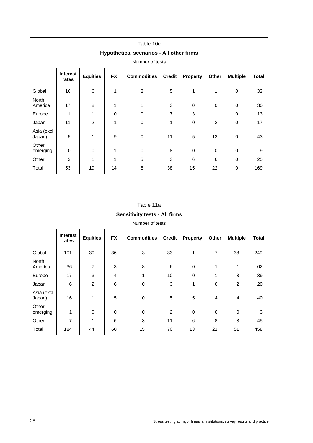| Hypothetical scenarios - All other firms |                 |             |                    |               |             |              |                 |              |
|------------------------------------------|-----------------|-------------|--------------------|---------------|-------------|--------------|-----------------|--------------|
| Number of tests                          |                 |             |                    |               |             |              |                 |              |
| <b>Interest</b><br>rates                 | <b>Equities</b> | <b>FX</b>   | <b>Commodities</b> | <b>Credit</b> | Property    | Other        | <b>Multiple</b> | <b>Total</b> |
| 16                                       | 6               | 1           | $\overline{c}$     | 5             | 1           | $\mathbf{1}$ | $\pmb{0}$       | 32           |
| 17                                       | 8               | 1           | 1                  | 3             | $\mathbf 0$ | 0            | $\mathbf 0$     | 30           |
| 1                                        | 1               | $\mathbf 0$ | $\mathbf 0$        | 7             | 3           | 1            | 0               | 13           |
| 11                                       | $\overline{2}$  | 1           | $\mathbf 0$        | 1             | $\mathbf 0$ | 2            | $\pmb{0}$       | 17           |
| 5                                        | 1               | 9           | $\mathbf 0$        | 11            | 5           | 12           | $\mathbf 0$     | 43           |
| 0                                        | $\mathbf 0$     | 1           | $\mathbf 0$        | 8             | $\Omega$    | 0            | $\mathbf 0$     | 9            |
| 3                                        | 1               | 1           | 5                  | 3             | 6           | 6            | 0               | 25           |
| 53                                       | 19              | 14          | 8                  | 38            | 15          | 22           | $\pmb{0}$       | 169          |
|                                          |                 |             |                    |               |             |              |                 |              |

### Table 10c **Hypothetical scenarios - All other firms**

### Table 11a **Sensitivity tests - All firms**

| ensitivity tests - All firms |
|------------------------------|
|------------------------------|

| Number of tests |
|-----------------|
|-----------------|

|                         | <b>Interest</b><br>rates | <b>Equities</b> | <b>FX</b>   | <b>Commodities</b> | <b>Credit</b>  | <b>Property</b> | Other       | <b>Multiple</b> | <b>Total</b> |
|-------------------------|--------------------------|-----------------|-------------|--------------------|----------------|-----------------|-------------|-----------------|--------------|
| Global                  | 101                      | 30              | 36          | 3                  | 33             | 1               | 7           | 38              | 249          |
| <b>North</b><br>America | 36                       | 7               | 3           | 8                  | 6              | 0               | 1           | 1               | 62           |
| Europe                  | 17                       | 3               | 4           | 1                  | 10             | 0               | 1           | 3               | 39           |
| Japan                   | 6                        | $\overline{2}$  | 6           | $\mathbf 0$        | 3              | 1               | 0           | $\overline{2}$  | 20           |
| Asia (excl<br>Japan)    | 16                       | 1               | 5           | $\mathbf 0$        | 5              | 5               | 4           | $\overline{4}$  | 40           |
| Other<br>emerging       | 1                        | 0               | $\mathbf 0$ | $\Omega$           | $\overline{2}$ | 0               | $\mathbf 0$ | $\Omega$        | 3            |
| Other                   | 7                        | 1               | 6           | 3                  | 11             | 6               | 8           | 3               | 45           |
| Total                   | 184                      | 44              | 60          | 15                 | 70             | 13              | 21          | 51              | 458          |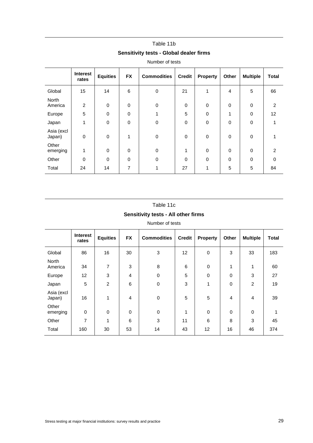# Table 11b **Sensitivity tests - Global dealer firms**

Number of tests

|                      | <b>Interest</b><br>rates | <b>Equities</b> | <b>FX</b>   | <b>Commodities</b> | <b>Credit</b> | <b>Property</b> | Other          | <b>Multiple</b> | <b>Total</b>   |
|----------------------|--------------------------|-----------------|-------------|--------------------|---------------|-----------------|----------------|-----------------|----------------|
| Global               | 15                       | 14              | 6           | $\mathbf 0$        | 21            | 1               | $\overline{4}$ | 5               | 66             |
| North<br>America     | $\overline{c}$           | $\mathbf 0$     | 0           | $\mathbf 0$        | 0             | $\mathbf 0$     | $\mathbf 0$    | $\mathbf 0$     | $\overline{c}$ |
| Europe               | 5                        | $\Omega$        | $\pmb{0}$   | 1                  | 5             | $\mathbf 0$     | $\overline{ }$ | $\mathbf 0$     | 12             |
| Japan                | $\mathbf{1}$             | $\mathbf 0$     | $\pmb{0}$   | $\mathbf 0$        | 0             | $\Omega$        | $\mathbf 0$    | $\mathbf 0$     |                |
| Asia (excl<br>Japan) | 0                        | $\mathbf 0$     | 1           | $\mathbf 0$        | 0             | $\mathbf 0$     | $\mathbf 0$    | $\mathbf 0$     |                |
| Other<br>emerging    | $\mathbf{1}$             | $\Omega$        | $\mathbf 0$ | $\Omega$           | 1             | $\Omega$        | $\Omega$       | $\mathbf 0$     | $\overline{2}$ |
| Other                | 0                        | $\mathbf 0$     | $\mathbf 0$ | $\Omega$           | $\mathbf 0$   | $\Omega$        | 0              | $\mathbf 0$     | $\Omega$       |
| Total                | 24                       | 14              | 7           | 1                  | 27            | 1               | 5              | 5               | 84             |

# Table 11c

### **Sensitivity tests - All other firms**

|                         | <b>Interest</b><br>rates | <b>Equities</b> | <b>FX</b> | <b>Commodities</b> | <b>Credit</b> | <b>Property</b> | Other       | <b>Multiple</b> | <b>Total</b> |
|-------------------------|--------------------------|-----------------|-----------|--------------------|---------------|-----------------|-------------|-----------------|--------------|
| Global                  | 86                       | 16              | 30        | 3                  | 12            | $\mathbf 0$     | 3           | 33              | 183          |
| <b>North</b><br>America | 34                       | 7               | 3         | 8                  | 6             | $\mathbf 0$     | 1           | $\mathbf{1}$    | 60           |
| Europe                  | 12                       | 3               | 4         | $\mathbf 0$        | 5             | $\mathbf 0$     | 0           | 3               | 27           |
| Japan                   | 5                        | $\overline{2}$  | 6         | 0                  | 3             | 1               | $\mathbf 0$ | $\overline{2}$  | 19           |
| Asia (excl<br>Japan)    | 16                       | $\mathbf{1}$    | 4         | $\pmb{0}$          | 5             | 5               | 4           | 4               | 39           |
| Other<br>emerging       | $\mathbf 0$              | $\mathbf 0$     | 0         | $\mathbf 0$        | 1             | $\Omega$        | $\mathbf 0$ | 0               | 4            |
| Other                   | $\overline{7}$           | 1               | 6         | 3                  | 11            | 6               | 8           | 3               | 45           |
| Total                   | 160                      | 30              | 53        | 14                 | 43            | 12              | 16          | 46              | 374          |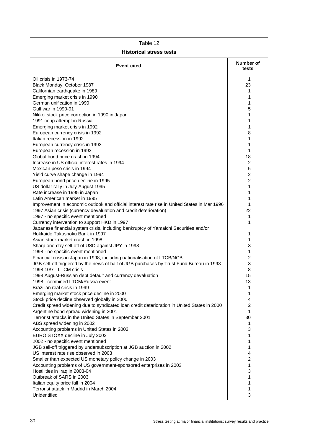| <b>Event cited</b>                                                                                                      | Number of<br>tests |
|-------------------------------------------------------------------------------------------------------------------------|--------------------|
| Oil crisis in 1973-74                                                                                                   | 1                  |
| Black Monday, October 1987                                                                                              | 23                 |
| Californian earthquake in 1989                                                                                          | 1                  |
| Emerging market crisis in 1990                                                                                          | 1                  |
| German unification in 1990                                                                                              | 1                  |
| Gulf war in 1990-91                                                                                                     | 5                  |
| Nikkei stock price correction in 1990 in Japan                                                                          | 1                  |
| 1991 coup attempt in Russia                                                                                             | 1                  |
| Emerging market crisis in 1992                                                                                          | 1                  |
| European currency crisis in 1992                                                                                        | 8                  |
| Italian recession in 1992                                                                                               | 1                  |
| European currency crisis in 1993                                                                                        | 1                  |
| European recession in 1993                                                                                              | 1                  |
| Global bond price crash in 1994                                                                                         | 18                 |
| Increase in US official interest rates in 1994                                                                          | 2                  |
| Mexican peso crisis in 1994                                                                                             | 5                  |
| Yield curve shape change in 1994                                                                                        | 2                  |
| European bond price decline in 1995                                                                                     | 2                  |
| US dollar rally in July-August 1995                                                                                     | 1                  |
| Rate increase in 1995 in Japan                                                                                          | 1                  |
| Latin American market in 1995                                                                                           | 1                  |
| Improvement in economic outlook and official interest rate rise in United States in Mar 1996                            | 1                  |
| 1997 Asian crisis (currency devaluation and credit deterioration)                                                       | 22                 |
| 1997 - no specific event mentioned                                                                                      | 1                  |
| Currency intervention to support HKD in 1997                                                                            | 1                  |
| Japanese financial system crisis, including bankruptcy of Yamaichi Securities and/or<br>Hokkaido Takushoku Bank in 1997 |                    |
|                                                                                                                         | 1<br>1             |
| Asian stock market crash in 1998<br>Sharp one-day sell-off of USD against JPY in 1998                                   | 3                  |
| 1998 - no specific event mentioned                                                                                      | 1                  |
| Financial crisis in Japan in 1998, including nationalisation of LTCB/NCB                                                | $\overline{c}$     |
| JGB sell-off triggered by the news of halt of JGB purchases by Trust Fund Bureau in 1998                                | 3                  |
| 1998 10/7 - LTCM crisis                                                                                                 | 8                  |
| 1998 August-Russian debt default and currency devaluation                                                               | 15                 |
| 1998 - combined LTCM/Russia event                                                                                       | 13                 |
| Brazilian real crisis in 1999                                                                                           | 1                  |
| Emerging market stock price decline in 2000                                                                             | 1                  |
| Stock price decline observed globally in 2000                                                                           | 4                  |
| Credit spread widening due to syndicated loan credit deterioration in United States in 2000                             | $\boldsymbol{2}$   |
| Argentine bond spread widening in 2001                                                                                  | 1                  |
| Terrorist attacks in the United States in September 2001                                                                | 30                 |
| ABS spread widening in 2002                                                                                             | 1                  |
| Accounting problems in United States in 2002                                                                            | 3                  |
| EURO STOXX decline in July 2002                                                                                         | 1                  |
| 2002 - no specific event mentioned                                                                                      | 1                  |
| JGB sell-off triggered by undersubscription at JGB auction in 2002                                                      | 1                  |
| US interest rate rise observed in 2003                                                                                  | 4                  |
| Smaller than expected US monetary policy change in 2003                                                                 | $\overline{c}$     |
| Accounting problems of US government-sponsored enterprises in 2003                                                      | 1                  |
| Hostilities in Iraq in 2003-04                                                                                          | 3                  |
| Outbreak of SARS in 2003                                                                                                | 1                  |
| Italian equity price fall in 2004                                                                                       | 1                  |
| Terrorist attack in Madrid in March 2004                                                                                | 1                  |
| Unidentified                                                                                                            | 3                  |

### Table 12 **Historical stress tests**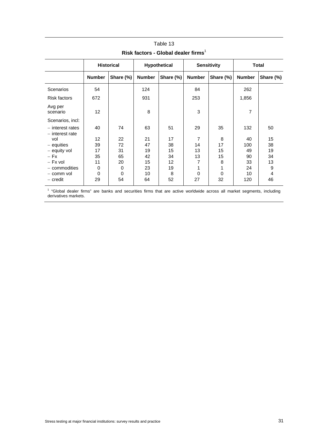|                                         | <b>Historical</b> |           | Hypothetical  |           | <b>Sensitivity</b> |           | <b>Total</b>  |           |
|-----------------------------------------|-------------------|-----------|---------------|-----------|--------------------|-----------|---------------|-----------|
|                                         | <b>Number</b>     | Share (%) | <b>Number</b> | Share (%) | <b>Number</b>      | Share (%) | <b>Number</b> | Share (%) |
| Scenarios                               | 54                |           | 124           |           | 84                 |           | 262           |           |
| <b>Risk factors</b>                     | 672               |           | 931           |           | 253                |           | 1,856         |           |
| Avg per<br>scenario                     | 12                |           | 8             |           | 3                  |           | 7             |           |
| Scenarios, incl:                        |                   |           |               |           |                    |           |               |           |
| $-$ interest rates<br>$-$ interest rate | 40                | 74        | 63            | 51        | 29                 | 35        | 132           | 50        |
| vol                                     | 12                | 22        | 21            | 17        | $\overline{7}$     | 8         | 40            | 15        |
| $-$ equities                            | 39                | 72        | 47            | 38        | 14                 | 17        | 100           | 38        |
| - equity vol                            | 17                | 31        | 19            | 15        | 13                 | 15        | 49            | 19        |
| $-$ Fx                                  | 35                | 65        | 42            | 34        | 13                 | 15        | 90            | 34        |
| $-$ Fx vol                              | 11                | 20        | 15            | 12        | 7                  | 8         | 33            | 13        |
| - commodities                           | 0                 | 0         | 23            | 19        | 1                  |           | 24            | 9         |
| - comm vol                              | 0                 | 0         | 10            | 8         | 0                  | 0         | 10            | 4         |
| - credit                                | 29                | 54        | 64            | 52        | 27                 | 32        | 120           | 46        |

### Table 13 **Risk factors - Global dealer firms**<sup>1</sup>

<sup>1</sup> "Global dealer firms" are banks and securities firms that are active worldwide across all market segments, including derivatives markets.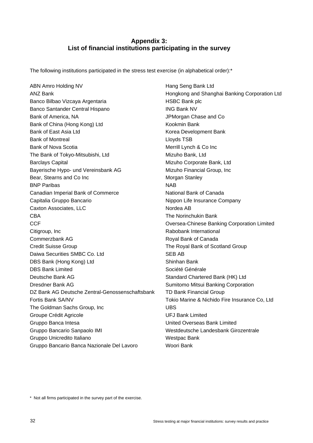### **Appendix 3: List of financial institutions participating in the survey**

The following institutions participated in the stress test exercise (in alphabetical order):\*

ABN Amro Holding NV **Hang Seng Bank Ltd** ANZ Bank **Hongkong and Shanghai Banking Corporation Ltd** Banco Bilbao Vizcaya Argentaria **HSBC Bank plc** Banco Santander Central Hispano ING Bank NV Bank of America, NA JPMorgan Chase and Co Bank of China (Hong Kong) Ltd Kookmin Bank Bank of East Asia Ltd Korea Development Bank Bank of Montreal **Example 2018** Lloyds TSB Bank of Nova Scotia **Merrill Lynch & Co Inc.** Merrill Lynch & Co Inc The Bank of Tokyo-Mitsubishi, Ltd Mizuho Bank, Ltd Barclays Capital Mizuho Corporate Bank, Ltd Bayerische Hypo- und Vereinsbank AG Mizuho Financial Group, Inc Bear, Stearns and Co Inc Morgan Stanley **BNP Paribas NAB** Canadian Imperial Bank of Commerce National Bank of Canada Capitalia Gruppo Bancario **Nippon Life Insurance Company** Caxton Associates, LLC Nordea AB CBA The Norinchukin Bank CCF Oversea-Chinese Banking Corporation Limited Citigroup, Inc **Community** Citigroup, Inc. **Community** Rabobank International Commerzbank AG Royal Bank of Canada Credit Suisse Group The Royal Bank of Scotland Group Daiwa Securities SMBC Co. Ltd SEB AB DBS Bank (Hong Kong) Ltd Shinhan Bank DBS Bank Limited Société Générale Deutsche Bank AG Standard Chartered Bank (HK) Ltd Dresdner Bank AG Sumitomo Mitsui Banking Corporation DZ Bank AG Deutsche Zentral-Genossenschaftsbank TD Bank Financial Group Fortis Bank SA/NV Tokio Marine & Nichido Fire Insurance Co, Ltd The Goldman Sachs Group, Inc **Inc.** UBS Groupe Crédit Agricole **Crédit Agricole UFJ Bank Limited** Gruppo Banca Intesa United Overseas Bank Limited Gruppo Bancario Sanpaolo IMI Westdeutsche Landesbank Girozentrale Gruppo Unicredito Italiano New York Nestpac Bank Gruppo Bancario Banca Nazionale Del Lavoro Woori Bank

\* Not all firms participated in the survey part of the exercise.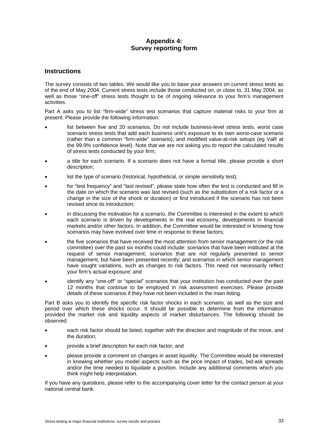### **Appendix 4: Survey reporting form**

### **Instructions**

The survey consists of two tables. We would like you to base your answers on current stress tests as of the end of May 2004. Current stress tests include those conducted on, or close to, 31 May 2004, as well as those "one-off" stress tests thought to be of ongoing relevance to your firm's management activities.

Part A asks you to list "firm-wide" stress test scenarios that capture material risks to your firm at present. Please provide the following information:

- list between five and 20 scenarios. Do not include business-level stress tests, worst case scenario stress tests that add each business unit's exposure to its own worst-case scenario (rather than a common "firm-wide" scenario), and modified value-at-risk setups (eg VaR at the 99.9% confidence level). Note that we are not asking you to report the calculated results of stress tests conducted by your firm;
- a title for each scenario. If a scenario does not have a formal title, please provide a short description;
- list the type of scenario (historical, hypothetical, or simple sensitivity test);
- for "test frequency" and "last revised", please state how often the test is conducted and fill in the date on which the scenario was last revised (such as the substitution of a risk factor or a change in the size of the shock or duration) or first introduced if the scenario has not been revised since its introduction;
- in discussing the motivation for a scenario, the Committee is interested in the extent to which each scenario is driven by developments in the real economy, developments in financial markets and/or other factors. In addition, the Committee would be interested in knowing how scenarios may have evolved over time in response to these factors;
- the five scenarios that have received the most attention from senior management (or the risk committee) over the past six months could include: scenarios that have been instituted at the request of senior management; scenarios that are not regularly presented to senior management, but have been presented recently; and scenarios in which senior management have sought variations, such as changes to risk factors. This need not necessarily reflect your firm's actual exposure; and
- identify any "one-off" or "special" scenarios that your institution has conducted over the past 12 months that continue to be employed in risk assessment exercises. Please provide details of these scenarios if they have not been included in the main listing.

Part B asks you to identify the specific risk factor shocks in each scenario, as well as the size and period over which these shocks occur. It should be possible to determine from the information provided the market risk and liquidity aspects of market disturbances. The following should be observed:

- each risk factor should be listed, together with the direction and magnitude of the move, and the duration;
- provide a brief description for each risk factor; and
- please provide a comment on changes in asset liquidity. The Committee would be interested in knowing whether you model aspects such as the price impact of trades, bid-ask spreads and/or the time needed to liquidate a position. Include any additional comments which you think might help interpretation.

If you have any questions, please refer to the accompanying cover letter for the contact person at your national central bank.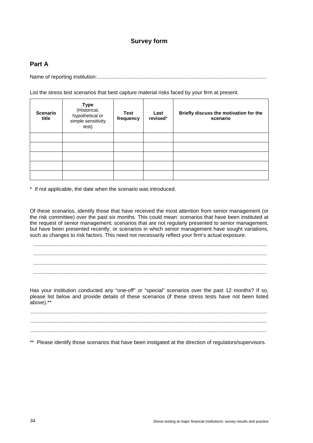### **Survey form**

### **Part A**

Name of reporting institution:.....................................................................................................................

List the stress test scenarios that best capture material risks faced by your firm at present.

| <b>Scenario</b><br>title | <b>Type</b><br>(Historical,<br>hypothetical or<br>simple sensitivity<br>test) | <b>Test</b><br>frequency | Last<br>revised* | Briefly discuss the motivation for the<br>scenario |
|--------------------------|-------------------------------------------------------------------------------|--------------------------|------------------|----------------------------------------------------|
|                          |                                                                               |                          |                  |                                                    |
|                          |                                                                               |                          |                  |                                                    |
|                          |                                                                               |                          |                  |                                                    |
|                          |                                                                               |                          |                  |                                                    |
|                          |                                                                               |                          |                  |                                                    |

\* If not applicable, the date when the scenario was introduced.

Of these scenarios, identify those that have received the most attention from senior management (or the risk committee) over the past six months. This could mean: scenarios that have been instituted at the request of senior management; scenarios that are not regularly presented to senior management, but have been presented recently; or scenarios in which senior management have sought variations, such as changes to risk factors. This need not necessarily reflect your firm's actual exposure.

................................................................................................................................................................. ................................................................................................................................................................. ................................................................................................................................................................. .................................................................................................................................................................

Has your institution conducted any "one-off" or "special" scenarios over the past 12 months? If so, please list below and provide details of these scenarios (if these stress tests have not been listed above).\*\*

................................................................................................................................................................... ................................................................................................................................................................... ...................................................................................................................................................................

\*\* Please identify those scenarios that have been instigated at the direction of regulators/supervisors.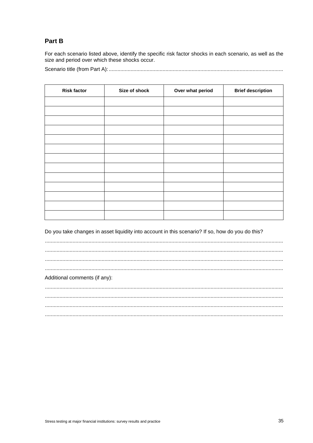### Part B

For each scenario listed above, identify the specific risk factor shocks in each scenario, as well as the size and period over which these shocks occur.

| <b>Risk factor</b> | Size of shock | Over what period | <b>Brief description</b> |
|--------------------|---------------|------------------|--------------------------|
|                    |               |                  |                          |
|                    |               |                  |                          |
|                    |               |                  |                          |
|                    |               |                  |                          |
|                    |               |                  |                          |
|                    |               |                  |                          |
|                    |               |                  |                          |
|                    |               |                  |                          |
|                    |               |                  |                          |
|                    |               |                  |                          |
|                    |               |                  |                          |
|                    |               |                  |                          |
|                    |               |                  |                          |

Do you take changes in asset liquidity into account in this scenario? If so, how do you do this?

Additional comments (if any):